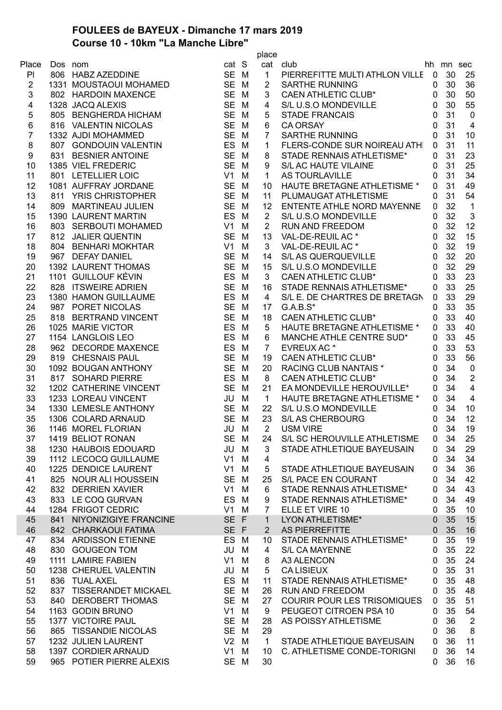## **FOULEES de BAYEUX - Dimanche 17 mars 2019 Course 10 - 10km "La Manche Libre"**

|                |         |                                             |                |      | place          |                                    |              |                 |                  |
|----------------|---------|---------------------------------------------|----------------|------|----------------|------------------------------------|--------------|-----------------|------------------|
| Place          | Dos nom | e<br>Barat di Santan                        | cat S          |      |                | cat club                           |              | hh mn sec       |                  |
| PI             |         | 806 HABZ AZEDDINE                           | SE M           |      | $\mathbf{1}$   | PIERREFITTE MULTI ATHLON VILLE 0   |              | 30              | 25               |
| $\overline{2}$ |         | 1331 MOUSTAOUI MOHAMED                      | SE M           |      | $\overline{2}$ | <b>SARTHE RUNNING</b>              | 0            | 30              | 36               |
| 3              |         | 802 HARDOIN MAXENCE                         | SE M           |      | 3              | <b>CAEN ATHLETIC CLUB*</b>         | $\mathbf{0}$ | 30              | 50               |
| 4              |         | 1328 JACQ ALEXIS                            | SE M           |      | 4              | S/L U.S.O MONDEVILLE               | $\mathbf{0}$ | 30              | 55               |
| 5              |         | 805 BENGHERDA HICHAM                        | SE M           |      | 5              | <b>STADE FRANCAIS</b>              | $\mathbf{0}$ | 31              | $\mathbf 0$      |
| 6              |         | 816 VALENTIN NICOLAS                        | SE M           |      | 6              | <b>CA ORSAY</b>                    | $\mathbf 0$  | 31              | $\overline{4}$   |
| $\overline{7}$ |         | 1332 AJDI MOHAMMED                          | SE M           |      | $\overline{7}$ | <b>SARTHE RUNNING</b>              | 0            | 31              | 10               |
| 8              |         | 807 GONDOUIN VALENTIN                       | ES M           |      | 1              | FLERS-CONDE SUR NOIREAU ATHI       | $\mathbf{0}$ | 31              | 11               |
| 9              |         | 831 BESNIER ANTOINE                         | <b>SE</b>      | M    | 8              | STADE RENNAIS ATHLETISME*          | $\mathbf{0}$ | 31              | 23               |
| 10             |         | 1385 VIEL FREDERIC                          | SE M           |      | 9              | <b>S/L AC HAUTE VILAINE</b>        | 0            | 31              | 25               |
| 11             |         | 801 LETELLIER LOIC                          | V <sub>1</sub> | М    | $\mathbf 1$    | AS TOURLAVILLE                     | 0            | 31              | 34               |
| 12             |         | 1081 AUFFRAY JORDANE                        | <b>SE</b>      | M    | 10             | HAUTE BRETAGNE ATHLETISME *        | $\mathbf{0}$ | 31              | 49               |
| 13             |         | 811 YRIS CHRISTOPHER                        | SE M           |      | 11             | PLUMAUGAT ATHLETISME               | $\mathbf{0}$ | 31              | 54               |
| 14             |         |                                             | SE M           |      | 12             | ENTENTE ATHLE NORD MAYENNE         | $\mathbf{0}$ | 32              | $\overline{1}$   |
|                |         | 809 MARTINEAU JULIEN<br>1390 LAURENT MARTIN |                |      |                |                                    |              |                 |                  |
| 15             |         |                                             | ES M           |      | $\overline{2}$ | S/L U.S.O MONDEVILLE               | $\mathbf{0}$ | 32              | 3                |
| 16             |         | 803 SERBOUTI MOHAMED                        | V <sub>1</sub> | M    | $\overline{2}$ | RUN AND FREEDOM                    | 0            | 32              | 12               |
| 17             |         | 812 JALIER QUENTIN                          | <b>SE</b>      | M    | 13             | VAL-DE-REUIL AC *                  | 0            | 32              | 15               |
| 18             |         | 804 BENHARI MOKHTAR                         | V1             | M    | 3              | VAL-DE-REUIL AC *                  | 0            | 32              | 19               |
| 19             |         | 967 DEFAY DANIEL                            | <b>SE</b>      | M    | 14             | S/L AS QUERQUEVILLE                | $\mathbf{0}$ | 32              | 20               |
| 20             |         | 1392 LAURENT THOMAS                         | SE M           |      | 15             | S/L U.S.O MONDEVILLE               | $\mathbf{0}$ | 32              | 29               |
| 21             |         | 1101 GUILLOUF KÉVIN                         | ES M           |      | 3              | <b>CAEN ATHLETIC CLUB*</b>         | $\mathbf{0}$ | 33              | 23               |
| 22             |         | 828 ITSWEIRE ADRIEN                         | <b>SE</b>      | M    | 16             | <b>STADE RENNAIS ATHLETISME*</b>   | $\mathbf{0}$ | 33              | 25               |
| 23             |         | 1380 HAMON GUILLAUME                        | ES             | M    | 4              | S/L E. DE CHARTRES DE BRETAGN      | 0            | 33              | 29               |
| 24             |         | 987 PORET NICOLAS                           | <b>SE</b>      | M    | 17             | $G.A.B.S*$                         | 0            | 33              | 35               |
| 25             |         | 818 BERTRAND VINCENT                        | SE M           |      | 18             | <b>CAEN ATHLETIC CLUB*</b>         | 0            | 33              | 40               |
| 26             |         | 1025 MARIE VICTOR                           | ES             | M    | 5              | HAUTE BRETAGNE ATHLETISME *        | $\mathbf{0}$ | 33              | 40               |
| 27             |         | 1154 LANGLOIS LEO                           | ES             | M    | 6              | MANCHE ATHLE CENTRE SUD*           | 0            | 33              | 45               |
| 28             |         | 962 DECORDE MAXENCE                         | ES             | M    | $\overline{7}$ | EVREUX AC*                         | 0            | 33              | 53               |
| 29             |         | 819 CHESNAIS PAUL                           | <b>SE</b>      | M    | 19             | <b>CAEN ATHLETIC CLUB*</b>         | $\mathbf{0}$ | 33              | 56               |
| 30             |         | 1092 BOUGAN ANTHONY                         | SE M           |      | 20             | <b>RACING CLUB NANTAIS *</b>       | $\mathbf{0}$ | 34              | $\mathbf 0$      |
| 31             |         | 817 SOHARD PIERRE                           | ES             | M    | 8              | <b>CAEN ATHLETIC CLUB*</b>         | $\mathbf{0}$ | 34              | $\boldsymbol{2}$ |
| 32             |         | 1202 CATHERINE VINCENT                      | <b>SE</b>      | M    | 21             | EA MONDEVILLE HEROUVILLE*          | $\mathbf{0}$ | 34              | 4                |
| 33             |         | 1233 LOREAU VINCENT                         | JU             | M    | $\mathbf{1}$   | <b>HAUTE BRETAGNE ATHLETISME *</b> | $\mathbf{0}$ | 34              | $\overline{4}$   |
| 34             |         | 1330 LEMESLE ANTHONY                        | <b>SE</b>      | M    | 22             | S/L U.S.O MONDEVILLE               | 0            | 34              | 10               |
| 35             |         | 1306 COLARD ARNAUD                          | SE M           |      | 23             | S/L AS CHERBOURG                   | $\mathbf{0}$ | 34              | 12               |
| 36             |         | 1146 MOREL FLORIAN                          | JU M           |      | $2^{\circ}$    | <b>USM VIRE</b>                    | $\mathbf 0$  | 34              | 19               |
| 37             |         | 1419 BELIOT RONAN                           |                | SE M |                | 24 S/L SC HEROUVILLE ATHLETISME    |              | 0 <sub>34</sub> | 25               |
| 38             |         | 1230 HAUBOIS EDOUARD                        |                | JU M | 3              | STADE ATHLETIQUE BAYEUSAIN         | 0            | 34              | 29               |
| 39             |         | 1112 LECOCQ GUILLAUME                       | $V1$ M         |      | 4              |                                    | 0            | 34              | 34               |
| 40             |         | 1225 DENDICE LAURENT                        | $V1$ M         |      | 5              | STADE ATHLETIQUE BAYEUSAIN         | 0            | 34              | 36               |
| 41             |         | 825 NOUR ALI HOUSSEIN                       | SE M           |      | 25             | S/L PACE EN COURANT                | 0            | 34              | 42               |
| 42             |         | 832 DERRIEN XAVIER                          | $V1$ M         |      | 6              | STADE RENNAIS ATHLETISME*          | 0            | 34              | 43               |
| 43             |         | 833 LE COQ GURVAN                           | ES M           |      | 9              | STADE RENNAIS ATHLETISME*          | 0            | 34              | 49               |
| 44             |         | 1284 FRIGOT CEDRIC                          | $V1$ M         |      | 7              | ELLE ET VIRE 10                    | 0            | 35              | 10               |
| 45             |         | 841 NIYONIZIGIYE FRANCINE                   | SE F           |      | $1 -$          | LYON ATHLETISME*                   | $\mathbf{0}$ | 35              | 15               |
| 46             |         | 842 CHARKAOUI FATIMA                        | SE F           |      |                | 2 AS PIERREFITTE                   | $\Omega$     | 35              | 16               |
| 47             |         | 834 ARDISSON ETIENNE                        | ES M           |      | 10             | STADE RENNAIS ATHLETISME*          | $\mathbf{0}$ | 35              | 19               |
| 48             |         | 830 GOUGEON TOM                             | JU M           |      | 4              | S/L CA MAYENNE                     | 0            | 35              | 22               |
| 49             |         | 1111 LAMIRE FABIEN                          | $V1$ M         |      |                |                                    |              | 35              | 24               |
|                |         |                                             |                |      | 8              | A3 ALENCON                         | 0            |                 |                  |
| 50             |         | 1238 CHERUEL VALENTIN                       |                | JU M | 5              | <b>CALISIEUX</b>                   | 0            | 35              | 31               |
| 51             |         | 836 TUAL AXEL                               | ES M           |      | 11             | STADE RENNAIS ATHLETISME*          | 0            | 35              | 48               |
| 52             |         | 837 TISSERANDET MICKAEL                     | SE M           |      | 26             | <b>RUN AND FREEDOM</b>             | 0            | 35              | 48               |
| 53             |         | 840 DEROBERT THOMAS                         | SE M           |      | 27             | <b>COURIR POUR LES TRISOMIQUES</b> | 0            | 35              | 51               |
| 54             |         | 1163 GODIN BRUNO                            | $V1$ M         |      | 9              | PEUGEOT CITROEN PSA 10             | 0            | 35              | 54               |
| 55             |         | 1377 VICTOIRE PAUL                          | SE M           |      | 28             | AS POISSY ATHLETISME               | 0            | 36              | $\overline{2}$   |
| 56             |         | 865 TISSANDIE NICOLAS                       | SE M           |      | 29             |                                    | 0            | 36              | 8                |
| 57             |         | 1232 JULIEN LAURENT                         | $V2$ M         |      | $\mathbf{1}$   | STADE ATHLETIQUE BAYEUSAIN         | 0            | 36              | 11               |
| 58             |         | 1397 CORDIER ARNAUD                         | $V1$ M         |      |                | 10 C. ATHLETISME CONDE-TORIGNI     | 0            | 36              | 14               |
| 59             |         | 965 POTIER PIERRE ALEXIS                    |                | SE M | 30             |                                    | 0            | 36              | 16               |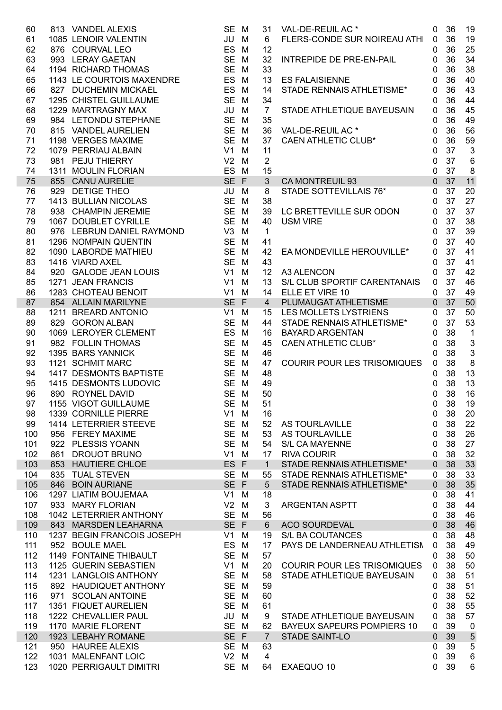| 60         |     |                                                                                                         | SE M           |        | 31             | VAL-DE-REUIL AC *                                                                                 | 0              | 36              | 19               |
|------------|-----|---------------------------------------------------------------------------------------------------------|----------------|--------|----------------|---------------------------------------------------------------------------------------------------|----------------|-----------------|------------------|
| 61         |     | 813 VANDEL ALEXIS<br>1085 LENOIR VALENTIN<br>876 COURVAL LEO<br>993 LERAY GAETAN<br>1194 RICHARD THOMAS | JU M           |        | 6              | FLERS-CONDE SUR NOIREAU ATH                                                                       | $\mathbf 0$    | 36              | 19               |
| 62         |     |                                                                                                         | ES M           |        | 12             |                                                                                                   | 0              | 36              | 25               |
| 63         |     |                                                                                                         | SE M           |        | 32             | INTREPIDE DE PRE-EN-PAIL                                                                          | 0              | 36              | 34               |
| 64         |     |                                                                                                         | SE M           |        | 33             |                                                                                                   | 0              | 36              | 38               |
| 65         |     | 1143 LE COURTOIS MAXENDRE<br>827 DUCHEMIN MICKAEL                                                       | ES M           |        |                | 13 ES FALAISIENNE                                                                                 | 0              | 36              | 40               |
| 66         |     |                                                                                                         | ES M           |        | 14             | STADE RENNAIS ATHLETISME*                                                                         | 0              | 36              | 43               |
| 67         |     | 1295 CHISTEL GUILLAUME                                                                                  | SE M           |        | 34             |                                                                                                   | 0              | 36              | 44               |
| 68         |     | 1229 MARTRAGNY MAX                                                                                      | JU M           |        | $\overline{7}$ | STADE ATHLETIQUE BAYEUSAIN                                                                        | $\mathbf 0$    | 36              | 45               |
| 69         |     | 984 LETONDU STEPHANE                                                                                    | SE M           |        | 35             |                                                                                                   | $\mathbf 0$    | 36              | 49               |
| 70         |     | 815 VANDEL AURELIEN                                                                                     | SE M           |        |                | 36 VAL-DE-REUIL AC *                                                                              | 0              | 36              | 56               |
| 71         |     | 1198 VERGES MAXIME                                                                                      | SE M           |        | 37             | <b>CAEN ATHLETIC CLUB*</b>                                                                        | $\mathbf 0$    | 36              | 59               |
| 72         |     | 1079 PERRIAU ALBAIN                                                                                     | $V1$ M         |        | 11             |                                                                                                   | $\mathbf 0$    | 37              | $\mathbf{3}$     |
| 73         |     | 981 PEJU THIERRY                                                                                        | $V2$ M         |        | $\overline{2}$ |                                                                                                   | $\mathbf 0$    | 37              | $6\phantom{1}6$  |
| 74         |     | 1311 MOULIN FLORIAN                                                                                     | ES M           |        | 15             |                                                                                                   | $\mathbf 0$    | 37              | 8                |
| 75         |     | 855 CANU AURELIE                                                                                        | SE F           |        | 3 <sup>7</sup> | CA MONTREUIL 93                                                                                   | $\overline{0}$ | 37              | 11               |
| 76         |     | 929 DETIGE THEO                                                                                         | JU M           |        | 8              | STADE SOTTEVILLAIS 76*                                                                            | $\mathbf 0$    | 37              | 20               |
| 77         |     | 1413 BULLIAN NICOLAS                                                                                    | SE M           |        | 38             |                                                                                                   | $\mathbf 0$    | 37              | 27               |
| 78         |     | 938 CHAMPIN JEREMIE                                                                                     | SE M           |        |                | 39 LC BRETTEVILLE SUR ODON                                                                        | 0              | 37              | 37               |
| 79         |     | 1067 DOUBLET CYRILLE                                                                                    | SE M           |        | 40             | <b>USM VIRE</b>                                                                                   | $\mathbf 0$    | 37              | 38               |
| 80         |     | 976 LEBRUN DANIEL RAYMOND                                                                               | $V3$ M         |        | $\mathbf{1}$   |                                                                                                   | 0              | 37              | 39               |
| 81         |     | 1296 NOMPAIN QUENTIN                                                                                    | SE M           |        | 41             |                                                                                                   | 0              | 37              | 40               |
| 82         |     | 1090 LABORDE MATHIEU                                                                                    | SE M           |        | 42             | EA MONDEVILLE HEROUVILLE*                                                                         | $\mathbf 0$    | 37              | 41               |
| 83         |     | 1416 VIARD AXEL                                                                                         | SE M           |        | 43             |                                                                                                   | $\mathbf 0$    | 37              | 41               |
| 84         |     | 920 GALODE JEAN LOUIS                                                                                   | V1             | M      |                | 12 A3 ALENCON                                                                                     | 0              | 37              | 42               |
| 85         |     | 1271 JEAN FRANCIS                                                                                       | V1             | M      |                | 13 S/L CLUB SPORTIF CARENTANAIS                                                                   | $\mathbf 0$    | 37              | 46               |
| 86         |     | 1283 CHOTEAU BENOIT                                                                                     | V1             | M      |                | 14 ELLE ET VIRE 10                                                                                | $\mathbf 0$    | 37              | 49               |
| 87         |     | 854 ALLAIN MARILYNE                                                                                     | SE F           |        | $\overline{4}$ | PLUMAUGAT ATHLETISME                                                                              | $\overline{0}$ | 37              | 50               |
| 88         |     | 1211 BREARD ANTONIO                                                                                     | V1             | M      |                | 15 LES MOLLETS LYSTRIENS<br>LES MOLLETS LYSTRIENS<br>STADE RENNAIS ATHLETISME*<br>SAVARR LROENTAN | $\mathbf 0$    | 37              | 50               |
| 89         |     | 829 GORON ALBAN                                                                                         | SE M           |        | 44             |                                                                                                   | $\mathbf 0$    | 37              | 53               |
| 90         |     |                                                                                                         | ES M           |        | 16             | <b>BAYARD ARGENTAN</b>                                                                            | $\mathbf 0$    | 38              | $\overline{1}$   |
| 91         |     |                                                                                                         | SE M           |        | 45             | <b>CAEN ATHLETIC CLUB*</b>                                                                        | $\mathbf 0$    | 38              | $\sqrt{3}$       |
| 92         |     | 1069 LEROYER CLEMENT<br>982 FOLLIN THOMAS<br>1395 BARS YANNICK<br>1121 SCHMIT MARC                      | SE M           |        | 46             |                                                                                                   | 0              | 38              | $\mathfrak{3}$   |
| 93         |     | 1121 SCHMIT MARC                                                                                        | SE M           |        | 47             | <b>COURIR POUR LES TRISOMIQUES</b>                                                                | $\mathbf 0$    | 38              | $\boldsymbol{8}$ |
| 94         |     | 1417 DESMONTS BAPTISTE                                                                                  | SE M           |        | 48             |                                                                                                   | 0              | 38              | 13               |
| 95         |     | 1415 DESMONTS LUDOVIC                                                                                   | SE M           |        | 49             |                                                                                                   | 0              | 38              | 13               |
| 96         |     | 890 ROYNEL DAVID                                                                                        | SE M           |        | 50             |                                                                                                   | $\mathbf 0$    | 38              | 16               |
| 97         |     | 1155 VIGOT GUILLAUME SEM                                                                                |                |        | 51             |                                                                                                   |                | 0 <sub>38</sub> | 19               |
| 98         |     | 1339 CORNILLE PIERRE                                                                                    | V1             | M      | 16             |                                                                                                   | 0              | 38              | 20               |
| 99         |     | 1414 LETERRIER STEEVE                                                                                   | SE M           |        | 52             | AS TOURLAVILLE                                                                                    | 0              | 38              | 22               |
| 100        |     | 956 FEREY MAXIME                                                                                        | SE M           |        | 53             | AS TOURLAVILLE                                                                                    | 0              | 38              | 26               |
| 101        |     | 922 PLESSIS YOANN                                                                                       | SE M           |        | 54             | <b>S/L CA MAYENNE</b>                                                                             | 0              | 38              | 27               |
| 102        | 861 | <b>DROUOT BRUNO</b>                                                                                     | V1             | M      | 17             | <b>RIVA COURIR</b>                                                                                | 0              | 38              | 32               |
| 103        |     | 853 HAUTIERE CHLOE                                                                                      | ES F           |        | $\mathbf{1}$   | <b>STADE RENNAIS ATHLETISME*</b>                                                                  | 0              | 38              | 33               |
| 104        |     | 835 TUAL STEVEN                                                                                         | SE M<br>SE F   |        | 55             | STADE RENNAIS ATHLETISME*                                                                         | 0              | 38              | 33               |
| 105        |     | 846 BOIN AURIANE<br>1297 LIATIM BOUJEMAA                                                                | V1             |        | 5              | STADE RENNAIS ATHLETISME*                                                                         | 0              | 38<br>38        | 35               |
| 106        |     | 933 MARY FLORIAN                                                                                        | V <sub>2</sub> | M<br>M | 18<br>3        | <b>ARGENTAN ASPTT</b>                                                                             | 0              | 38              | 41               |
| 107<br>108 |     | 1042 LETERRIER ANTHONY                                                                                  | SE M           |        | 56             |                                                                                                   | 0              | 38              | 44<br>46         |
| 109        |     | 843 MARSDEN LEAHARNA                                                                                    | SE F           |        | 6              | <b>ACO SOURDEVAL</b>                                                                              | 0              | 38              | 46               |
|            |     | 1237 BEGIN FRANCOIS JOSEPH                                                                              | V1             |        |                | S/L BA COUTANCES                                                                                  | 0              | 38              | 48               |
| 110<br>111 |     | 952 BOULE MAEL                                                                                          | <b>ES</b>      | M<br>M | 19             | PAYS DE LANDERNEAU ATHLETISM                                                                      | 0              | 38              | 49               |
| 112        |     | 1149 FONTAINE THIBAULT                                                                                  | SE M           |        | 17<br>57       |                                                                                                   | 0              | 38              | 50               |
| 113        |     | 1125 GUERIN SEBASTIEN                                                                                   | V1             | M      | 20             | <b>COURIR POUR LES TRISOMIQUES</b>                                                                | 0              | 38              | 50               |
|            |     | 1231 LANGLOIS ANTHONY                                                                                   |                |        |                |                                                                                                   | 0              | 38              | 51               |
| 114<br>115 |     | 892 HAUDIQUET ANTHONY                                                                                   | SE M<br>SE M   |        | 58<br>59       | STADE ATHLETIQUE BAYEUSAIN                                                                        | 0              | 38              | 51               |
| 116        |     | 971 SCOLAN ANTOINE                                                                                      | SE M           |        | 60             |                                                                                                   | 0              | 38              | 52               |
| 117        |     | 1351 FIQUET AURELIEN                                                                                    | SE M           |        | 61             |                                                                                                   | 0              | 38              | 55               |
| 118        |     | 1222 CHEVALLIER PAUL                                                                                    | JU M           |        |                | STADE ATHLETIQUE BAYEUSAIN                                                                        | 0              | 38              | 57               |
| 119        |     | 1170 MARIE FLORENT                                                                                      | SE M           |        | 9<br>62        | <b>BAYEUX SAPEURS POMPIERS 10</b>                                                                 | 0<br>0         | 39              | $\mathbf 0$      |
| 120        |     | 1923 LEBAHY ROMANE                                                                                      | SE F           |        | $\overline{7}$ | <b>STADE SAINT-LO</b>                                                                             | $\mathbf 0$    | 39              | $\sqrt{5}$       |
| 121        |     | 950 HAUREE ALEXIS                                                                                       | SE M           |        | 63             |                                                                                                   | 0              | 39              | 5                |
| 122        |     | 1031 MALENFANT LOIC                                                                                     | V <sub>2</sub> | M      | 4              |                                                                                                   | 0              | 39              | $\,6$            |
| 123        |     | 1020 PERRIGAULT DIMITRI                                                                                 | SE M           |        | 64             | EXAEQUO 10                                                                                        | 0              | 39              | 6                |
|            |     |                                                                                                         |                |        |                |                                                                                                   |                |                 |                  |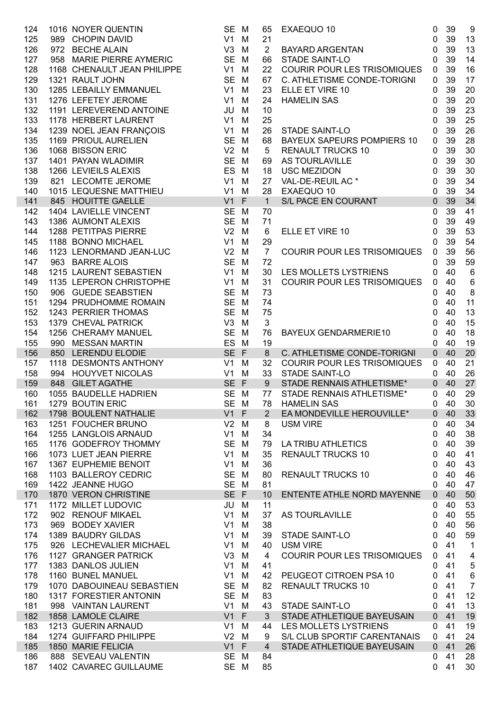| 124        | 1016 NOYER QUENTIN<br>989   CHOPIN DAVID<br>972   BECHE ALAIN<br>958   MARIE PIERRE AYMERIC<br>1016 NOYER QUENTIN   | SE M                             |        | 65              | EXAEQUO 10                                                            | $\mathbf 0$  | 39       | 9                       |
|------------|---------------------------------------------------------------------------------------------------------------------|----------------------------------|--------|-----------------|-----------------------------------------------------------------------|--------------|----------|-------------------------|
| 125        |                                                                                                                     | $V1$ M                           |        | 21              | BAYARD ARGENTAN                                                       | $\mathbf 0$  | 39       | 13                      |
| 126        |                                                                                                                     | V <sub>3</sub>                   | M      | $\overline{2}$  |                                                                       | 0            | 39       | 13                      |
| 127        |                                                                                                                     | SE M                             |        | 66              | <b>STADE SAINT-LO</b>                                                 | 0            | 39       | 14                      |
| 128        | 1168 CHENAULT JEAN PHILIPPE                                                                                         | V1                               | M      | 22              | <b>COURIR POUR LES TRISOMIQUES</b>                                    | $\mathbf 0$  | 39       | 16                      |
| 129        | 1321 RAULT JOHN                                                                                                     | SE M                             |        | 67              | C. ATHLETISME CONDE-TORIGNI                                           | $\mathbf 0$  | 39       | 17                      |
| 130        | 1285 LEBAILLY EMMANUEL                                                                                              | $V1$ M                           |        | 23              | ELLE ET VIRE 10                                                       | 0            | 39       | 20                      |
| 131        | 1276 LEFETEY JEROME                                                                                                 | V1                               | M      | 24              | <b>HAMELIN SAS</b>                                                    | 0            | 39       | 20                      |
| 132        | 1191 LEREVEREND ANTOINE                                                                                             | JU                               | M      | 10              |                                                                       | 0            | 39       | 23                      |
| 133        | 1178 HERBERT LAURENT                                                                                                | V1                               | M      | 25              |                                                                       | 0            | 39       | 25                      |
| 134        | 1239 NOEL JEAN FRANÇOIS                                                                                             | V1                               | M      | 26              | STADE SAINT-LO                                                        | 0            | 39       | 26                      |
| 135        |                                                                                                                     | SE M                             |        | 68              | <b>BAYEUX SAPEURS POMPIERS 10</b>                                     | $\mathbf 0$  | 39       | 28                      |
| 136        |                                                                                                                     | $V2$ M                           |        | 5               |                                                                       | 0            | 39       | 30                      |
| 137        |                                                                                                                     | SE M                             |        | 69              |                                                                       | $\mathbf 0$  | 39       | 30                      |
| 138        | 1239 NOEL JEAN FRANTSON<br>1169 PRIOUL AURELIEN<br>1068 BISSON ERIC<br>1401 PAYAN WLADIMIR<br>1266 I FVIEILS ALEXIS | ES M                             |        | 18              |                                                                       | $\mathbf 0$  | 39       | 30                      |
| 139        | 821 LECOMTE JEROME                                                                                                  | V1                               | M      | 27              |                                                                       | $\mathbf 0$  | 39       | 34                      |
| 140        | 1015 LEQUESNE MATTHIEU                                                                                              | V1                               | M      | 28              |                                                                       | $\mathbf 0$  | 39       | 34                      |
| 141        | 845 HOUITTE GAELLE                                                                                                  | $V1$ F                           |        | $\mathbf{1}$    | USC MEZIDON<br>VAL-DE-REUIL AC *<br>EXAEQUO 10<br>S/L PACE EN COURANT | $\mathbf 0$  | 39       | 34                      |
| 142        | 1404 LAVIELLE VINCENT                                                                                               | SE M                             |        | 70              |                                                                       | $\mathbf 0$  | 39       | 41                      |
| 143        | 1386 AUMONT ALEXIS                                                                                                  | SE M                             |        | 71              |                                                                       | $\mathbf 0$  | 39       | 49                      |
| 144        | 1288 PETITPAS PIERRE                                                                                                | $V2$ M                           |        | 6               | ELLE ET VIRE 10                                                       | 0            | 39       | 53                      |
| 145        | 1188 BONNO MICHAEL                                                                                                  | V1                               | M      | 29              |                                                                       | 0            | 39       | 54                      |
| 146        | 1123 LENORMAND JEAN-LUC                                                                                             | V <sub>2</sub>                   | M      | $\overline{7}$  | <b>COURIR POUR LES TRISOMIQUES</b>                                    | $\mathbf 0$  | 39       | 56                      |
| 147        | 963 BARRE ALOIS                                                                                                     | SE M                             |        | 72              |                                                                       | 0            | 39       | 59                      |
| 148        | 1215 LAURENT SEBASTIEN                                                                                              | $V1$ M                           |        | 30              | LES MOLLETS LYSTRIENS                                                 | 0            | 40       | $\,6\,$                 |
| 149        | 1135 LEPERON CHRISTOPHE                                                                                             | V1                               | M      | 31              | <b>COURIR POUR LES TRISOMIQUES</b>                                    | 0            | 40       | $\,6$                   |
| 150        | 906 GUEDE SEABSTIEN                                                                                                 | SE M                             |        | 73              |                                                                       | 0            | 40       | 8                       |
| 151        | 1294 PRUDHOMME ROMAIN                                                                                               | SE M                             |        | 74              |                                                                       | 0            | 40       | 11                      |
| 152        | 1243 PERRIER THOMAS                                                                                                 | SE M                             |        | 75              |                                                                       | 0            | 40       | 13                      |
| 153        | 1379 CHEVAL PATRICK                                                                                                 | $V3$ M                           |        | $\mathfrak{S}$  |                                                                       | 0            | 40       | 15                      |
| 154        | 1256 CHERAMY MANUEL                                                                                                 | SE M                             |        | 76              | BAYEUX GENDARMERIE10                                                  | 0            | 40       | 18                      |
| 155        | 990 MESSAN MARTIN                                                                                                   | ES M                             |        | 19              |                                                                       | 0            | 40       | 19                      |
| 156        | 850 LERENDU ELODIE                                                                                                  | SE F                             |        | 8               | C. ATHLETISME CONDE-TORIGNI                                           | $\mathbf{0}$ | 40       | 20                      |
| 157        | 1118 DESMONTS ANTHONY                                                                                               | $V1$ M                           |        | 32 <sup>2</sup> | COURIR POUR LES TRISOMIQUES                                           | $\mathbf 0$  | 40       | 21                      |
| 158        | 994 HOUYVET NICOLAS                                                                                                 | $V1$ M                           |        | 33              | STADE SAINT-LO                                                        | 0            | 40       | 26                      |
| 159        | 848 GILET AGATHE                                                                                                    | SE F                             |        | 9 <sub>o</sub>  | STADE RENNAIS ATHLETISME*                                             | $\mathbf{0}$ | 40       | 27                      |
| 160        | 1055 BAUDELLE HADRIEN                                                                                               | SE M                             |        | 77              | STADE RENNAIS ATHLETISME*                                             | $\mathbf{0}$ | 40       | 29                      |
| 161        | 1279 BOUTIN ERIC                                                                                                    | SE M                             |        |                 | 78 HAMELIN SAS                                                        | $\mathbf 0$  | 40       | 30                      |
| 162        | 1798 BOULENT NATHALIE                                                                                               | $V1$ F                           |        | $\overline{2}$  | EA MONDEVILLE HEROUVILLE*                                             | $\mathbf 0$  | 40       | 33                      |
| 163        | 1251 FOUCHER BRUNO                                                                                                  | $V2$ M                           |        | 8               | <b>USM VIRE</b>                                                       | 0            | 40       | 34                      |
| 164        | 1255 LANGLOIS ARNAUD                                                                                                | V1                               | M      | 34              |                                                                       | 0            | 40       | 38                      |
| 165        | 1176 GODEFROY THOMMY                                                                                                | SE M                             |        | 79              | LA TRIBU ATHLETICS                                                    | 0            | 40       | 39                      |
| 166        | 1073 LUET JEAN PIERRE                                                                                               | $V1$ M                           |        | 35              | <b>RENAULT TRUCKS 10</b>                                              | 0            | 40       | 41                      |
| 167        | 1367 EUPHEMIE BENOIT                                                                                                | V1                               | M      | 36              |                                                                       | 0            | 40       | 43                      |
| 168        | 1103 BALLEROY CEDRIC                                                                                                | SE M                             |        | 80              | <b>RENAULT TRUCKS 10</b>                                              | 0            | 40       | 46                      |
| 169        | 1422 JEANNE HUGO                                                                                                    | SE M                             |        | 81              |                                                                       | 0            | 40       | 47                      |
| 170        | 1870 VERON CHRISTINE                                                                                                | SE F                             |        | 10              | ENTENTE ATHLE NORD MAYENNE                                            | $\mathbf 0$  | 40<br>40 | 50                      |
| 171<br>172 | 1172 MILLET LUDOVIC<br>902 RENOUF MIKAEL                                                                            | JU M                             |        | 11              |                                                                       | 0            | 40       | 53                      |
| 173        | 969 BODEY XAVIER                                                                                                    | V <sub>1</sub><br>V <sub>1</sub> | M      | 37<br>38        | AS TOURLAVILLE                                                        | 0            | 40       | 55<br>56                |
| 174        | 1389 BAUDRY GILDAS                                                                                                  | V1                               | M      | 39              |                                                                       | 0            | 40       | 59                      |
| 175        | 926 LECHEVALIER MICHAEL                                                                                             | V1                               | M<br>M | 40              | <b>STADE SAINT-LO</b><br><b>USM VIRE</b>                              | 0<br>0       | 41       | $\mathbf{1}$            |
| 176        | 1127 GRANGER PATRICK                                                                                                | V3                               | M      | 4               | <b>COURIR POUR LES TRISOMIQUES</b>                                    | 0            | 41       | $\overline{\mathbf{4}}$ |
| 177        | 1383 DANLOS JULIEN                                                                                                  | V1                               | M      | 41              |                                                                       |              | 41       | $\mathbf 5$             |
|            | 1160 BUNEL MANUEL                                                                                                   | V1                               |        | 42              | PEUGEOT CITROEN PSA 10                                                | 0            | 41       | $\,6$                   |
| 178<br>179 | 1070 DABOUINEAU SEBASTIEN                                                                                           | SE M                             | M      | 82              | <b>RENAULT TRUCKS 10</b>                                              | 0<br>0       | 41       | $\overline{7}$          |
| 180        | 1317 FORESTIER ANTONIN                                                                                              | SE M                             |        | 83              |                                                                       | 0            | 41       | 12                      |
| 181        | 998 VAINTAN LAURENT                                                                                                 | $V1$ M                           |        | 43              | <b>STADE SAINT-LO</b>                                                 | 0            | 41       | 13                      |
| 182        | 1858 LAMOLE CLAIRE                                                                                                  | $V1$ F                           |        | 3               | STADE ATHLETIQUE BAYEUSAIN                                            | $\mathbf{0}$ | 41       | 19                      |
| 183        | 1213 GUERIN ARNAUD                                                                                                  | $V1$ M                           |        | 44              | LES MOLLETS LYSTRIENS                                                 | 0            | 41       | 19                      |
| 184        | 1274 GUIFFARD PHILIPPE                                                                                              | $V2$ M                           |        | 9               | S/L CLUB SPORTIF CARENTANAIS                                          | 0            | 41       | 24                      |
| 185        | 1850 MARIE FELICIA                                                                                                  | $V1$ F                           |        | $\overline{4}$  | STADE ATHLETIQUE BAYEUSAIN                                            | $\mathbf{0}$ | 41       | 26                      |
| 186        | 888 SEVEAU VALENTIN                                                                                                 | SE M                             |        | 84              |                                                                       | 0            | 41       | 28                      |
| 187        | 1402 CAVAREC GUILLAUME                                                                                              | SE M                             |        | 85              |                                                                       | $\mathbf{0}$ | 41       | 30                      |
|            |                                                                                                                     |                                  |        |                 |                                                                       |              |          |                         |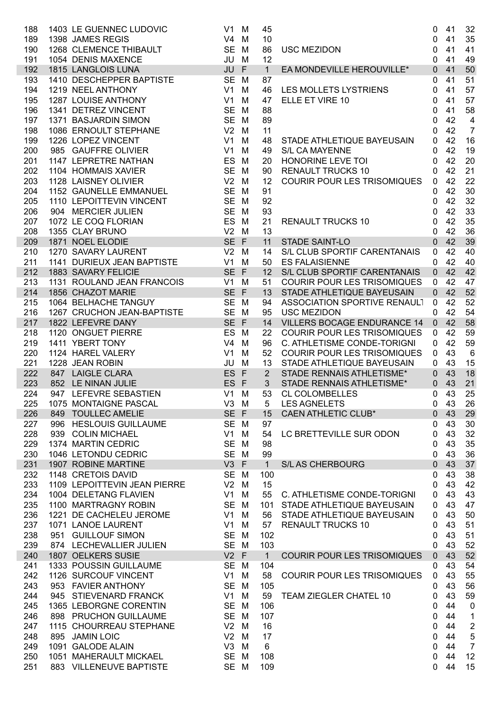| 188        |     | 1403 LE GUENNEC LUDOVIC                                                                 | V1                   | M           | 45                  |                                    | $\mathbf 0$      | 41       | 32              |
|------------|-----|-----------------------------------------------------------------------------------------|----------------------|-------------|---------------------|------------------------------------|------------------|----------|-----------------|
| 189        |     | 1398 JAMES REGIS                                                                        | V <sub>4</sub>       | M           | 10                  |                                    | $\mathbf 0$      | 41       | 35              |
| 190        |     | 1268 CLEMENCE THIBAULT                                                                  | SE M                 |             | 86                  | <b>USC MEZIDON</b>                 | $\mathbf 0$      | 41       | 41              |
| 191        |     | 1054 DENIS MAXENCE                                                                      | JU                   | M           | 12                  |                                    | $\mathbf 0$      | 41       | 49              |
| 192        |     | 1815 LANGLOIS LUNA                                                                      | JU                   | $\mathsf F$ | $\mathbf{1}$        | EA MONDEVILLE HEROUVILLE*          | $\mathbf 0$      | 41       | 50              |
| 193        |     | 1410 DESCHEPPER BAPTISTE                                                                | SE M                 |             | 87                  |                                    | $\mathbf 0$      | 41       | 51              |
| 194        |     |                                                                                         | V1                   | M           | 46                  | LES MOLLETS LYSTRIENS              | $\mathbf 0$      | 41       | 57              |
| 195        |     | 1219 NEEL ANTHONY<br>1287 LOUISE ANTHONY<br>1341 DETREZ VINCENT<br>1371 BASJARDIN SIMON | V <sub>1</sub>       | M           | 47                  | ELLE ET VIRE 10                    | $\mathbf 0$      | 41       | 57              |
| 196        |     |                                                                                         | <b>SE</b>            | M           | 88                  |                                    | 0                | 41       | 58              |
| 197        |     |                                                                                         | SE M                 |             | 89                  |                                    | 0                | 42       | $\overline{4}$  |
| 198        |     | 1086 ERNOULT STEPHANE                                                                   | V <sub>2</sub>       | M           | 11                  |                                    | $\mathbf 0$      | 42       | $\overline{7}$  |
| 199        |     | 1226 LOPEZ VINCENT                                                                      | V1                   | M           | 48                  | STADE ATHLETIQUE BAYEUSAIN         | $\mathbf 0$      | 42       | 16              |
| 200        |     | 985 GAUFFRE OLIVIER                                                                     | V <sub>1</sub>       | M           | 49                  | <b>S/L CA MAYENNE</b>              | $\mathbf 0$      | 42       | 19              |
| 201        |     | 1147 LEPRETRE NATHAN                                                                    | ES                   | M           | 20                  | HONORINE LEVE TOI                  | $\mathbf 0$      | 42       | 20              |
| 202        |     | 1104 HOMMAIS XAVIER                                                                     | SE M                 |             | 90                  | <b>RENAULT TRUCKS 10</b>           | $\mathbf 0$      | 42       | 21              |
| 203        |     | 1128 LAISNEY OLIVIER                                                                    | V <sub>2</sub>       | M           | 12                  | COURIR POUR LES TRISOMIQUES        | $\mathbf{0}$     | 42       | 22              |
| 204        |     | 1152 GAUNELLE EMMANUEL                                                                  | SE M                 |             | 91                  |                                    | 0                | 42       | 30              |
| 205        |     | 1110 LEPOITTEVIN VINCENT                                                                | SE M                 |             | 92                  |                                    | 0                | 42       | 32              |
| 206        |     | 904 MERCIER JULIEN                                                                      | SE M                 |             | 93                  |                                    | 0                | 42       | 33              |
| 207        |     | 1072 LE COQ FLORIAN                                                                     | ES M                 |             | 21                  | RENAULT TRUCKS 10                  | $\mathbf 0$      | 42       | 35              |
| 208        |     | 1355 CLAY BRUNO                                                                         | V <sub>2</sub>       | M           | 13                  |                                    | $\mathbf{0}$     | 42       | 36              |
| 209        |     | 1871 NOEL ELODIE                                                                        | SE F                 |             | 11                  | <b>STADE SAINT-LO</b>              | $\mathbf 0$      | 42       | 39              |
| 210        |     | 1270 SAVARY LAURENT                                                                     | $V2$ M               |             | 14                  | S/L CLUB SPORTIF CARENTANAIS       | $\mathbf 0$      | 42       | 40              |
| 211        |     | 1141 DURIEUX JEAN BAPTISTE                                                              | V1                   | M           | 50                  | <b>ES FALAISIENNE</b>              | $\mathbf 0$      | 42       | 40              |
| 212        |     | 1883 SAVARY FELICIE                                                                     | SE F                 |             | 12                  | S/L CLUB SPORTIF CARENTANAIS       | $\overline{0}$   | 42       | 42              |
| 213        |     | 1131 ROULAND JEAN FRANCOIS                                                              | $V1$ M               |             | 51                  | <b>COURIR POUR LES TRISOMIQUES</b> | $\mathbf 0$      | 42       | 47              |
| 214        |     | 1856 CHAZOT MARIE                                                                       | SE F                 |             | 13                  | STADE ATHLETIQUE BAYEUSAIN         | $\overline{0}$   | 42       | 52              |
| 215        |     | 1064 BELHACHE TANGUY                                                                    | SE M                 |             | 94                  | ASSOCIATION SPORTIVE RENAULT       | $\mathbf 0$      | 42       | 52              |
| 216        |     | 1267 CRUCHON JEAN-BAPTISTE                                                              | SE M                 |             | 95                  | <b>USC MEZIDON</b>                 | $\mathbf 0$      | 42       | 54              |
| 217        |     | 1822 LEFEVRE DANY                                                                       | SE F                 |             | 14                  | <b>VILLERS BOCAGE ENDURANCE 14</b> | $\overline{0}$   | 42       | 58              |
| 218        |     | 1120 ONGUET PIERRE                                                                      | ES                   | M           | 22                  | <b>COURIR POUR LES TRISOMIQUES</b> | $\mathbf 0$      | 42       | 59              |
| 219        |     | 1411 YBERT TONY                                                                         | V <sub>4</sub>       | M           | 96                  | C. ATHLETISME CONDE-TORIGNI        | 0                | 42       | 59              |
| 220        |     | 1124 HAREL VALERY                                                                       | V <sub>1</sub>       | M           | 52                  | <b>COURIR POUR LES TRISOMIQUES</b> | $\mathbf 0$      | 43       | $6\phantom{1}6$ |
| 221        |     | 1228 JEAN ROBIN                                                                         | JU                   | M           | 13                  | STADE ATHLETIQUE BAYEUSAIN         | $\mathbf{0}$     | 43       | 15              |
| 222        |     | 847 LAIGLE CLARA                                                                        | ES F                 |             | $2^{\circ}$         | STADE RENNAIS ATHLETISME*          | $\mathbf 0$      | 43       | 18              |
| 223        |     | 852 LE NINAN JULIE                                                                      | ES F                 |             | 3 <sup>1</sup>      | STADE RENNAIS ATHLETISME*          | $\mathbf{0}$     | 43       | 21              |
| 224        |     | 947 LEFEVRE SEBASTIEN                                                                   | V1                   | M           | 53                  | <b>CL COLOMBELLES</b>              | $\mathbf 0$      | 43       | 25              |
| 225        |     | 1075 MONTAIGNE PASCAL                                                                   | $V3$ M               |             | 5                   | <b>LES AGNELETS</b>                | $\pmb{0}$        | 43       | 26              |
| 226        |     | 849 TOULLEC AMELIE                                                                      | SE F                 |             | 15                  | <b>CAEN ATHLETIC CLUB*</b>         | $\mathbf 0$      | 43       | 29              |
| 227        | 996 | <b>HESLOUIS GUILLAUME</b>                                                               | SE M                 |             | 97                  |                                    | $\boldsymbol{0}$ | 43       | 30              |
| 228        |     | 939 COLIN MICHAEL                                                                       | V1                   | M           | 54                  | LC BRETTEVILLE SUR ODON            | 0                | 43       | 32              |
| 229        |     | 1374 MARTIN CEDRIC                                                                      | <b>SE</b>            | M           | 98                  |                                    | 0                | 43       | 35              |
| 230        |     | 1046 LETONDU CEDRIC                                                                     | SE M                 |             | 99                  |                                    | 0                | 43       | 36              |
| 231        |     | 1907 ROBINE MARTINE                                                                     | $V3$ F               |             | $\mathbf{1}$        | <b>S/L AS CHERBOURG</b>            | $\mathbf 0$      | 43       | 37              |
| 232        |     | 1148 CRETOIS DAVID                                                                      | SE M                 |             | 100                 |                                    | 0                | 43<br>43 | 38              |
| 233        |     | 1109 LEPOITTEVIN JEAN PIERRE<br>1004 DELETANG FLAVIEN                                   | V <sub>2</sub><br>V1 | M           | 15<br>55            |                                    | 0                |          | 42              |
| 234        |     |                                                                                         |                      | M           |                     | C. ATHLETISME CONDE-TORIGNI        | 0                | 43<br>43 | 43              |
| 235        |     | 1100 MARTRAGNY ROBIN<br>1221 DE CACHELEU JEROME                                         | <b>SE</b><br>V1      | M           | 101                 | STADE ATHLETIQUE BAYEUSAIN         | 0                | 43       | 47              |
| 236<br>237 |     | 1071 LANOE LAURENT                                                                      | V <sub>1</sub>       | M           | 56                  | STADE ATHLETIQUE BAYEUSAIN         | 0                | 43       | 50<br>51        |
| 238        |     | 951 GUILLOUF SIMON                                                                      | <b>SE</b>            | M           | 57<br>102           | <b>RENAULT TRUCKS 10</b>           | 0                | 43       | 51              |
|            |     |                                                                                         | SE M                 | M           | 103                 |                                    | 0                | 43       |                 |
| 239        |     | 874 LECHEVALLIER JULIEN                                                                 |                      |             |                     |                                    | 0                |          | 52              |
| 240        |     | 1807 OELKERS SUSIE<br>1333 POUSSIN GUILLAUME                                            | $V2$ F<br>SE M       |             | $\mathbf{1}$<br>104 | <b>COURIR POUR LES TRISOMIQUES</b> | 0                | 43<br>43 | 52<br>54        |
| 241<br>242 |     | 1126 SURCOUF VINCENT                                                                    | V1                   | M           | 58                  | <b>COURIR POUR LES TRISOMIQUES</b> | 0<br>0           | 43       | 55              |
| 243        |     | 953 FAVIER ANTHONY                                                                      | <b>SE</b>            | M           | 105                 |                                    | 0                | 43       | 56              |
| 244        |     | 945 STIEVENARD FRANCK                                                                   | V <sub>1</sub>       | M           | 59                  | TEAM ZIEGLER CHATEL 10             | 0                | 43       | 59              |
| 245        |     | 1365 LEBORGNE CORENTIN                                                                  | <b>SE</b>            | M           | 106                 |                                    | 0                | 44       | $\mathbf 0$     |
| 246        |     | 898 PRUCHON GUILLAUME                                                                   | <b>SE</b>            | M           | 107                 |                                    | 0                | 44       | 1               |
| 247        |     | 1115 CHOURREAU STEPHANE                                                                 | V <sub>2</sub>       | M           | 16                  |                                    | 0                | 44       | $\mathbf 2$     |
| 248        |     | 895 JAMIN LOIC                                                                          | V <sub>2</sub>       | M           | 17                  |                                    | 0                | 44       | 5               |
| 249        |     | 1091 GALODE ALAIN                                                                       | V <sub>3</sub>       | M           | 6                   |                                    | 0                | 44       | $\overline{7}$  |
| 250        |     | 1051 MAHERAULT MICKAEL                                                                  | <b>SE</b>            | M           | 108                 |                                    | 0                | 44       | 12              |
| 251        |     | 883 VILLENEUVE BAPTISTE                                                                 | SE M                 |             | 109                 |                                    | 0                | 44       | 15              |
|            |     |                                                                                         |                      |             |                     |                                    |                  |          |                 |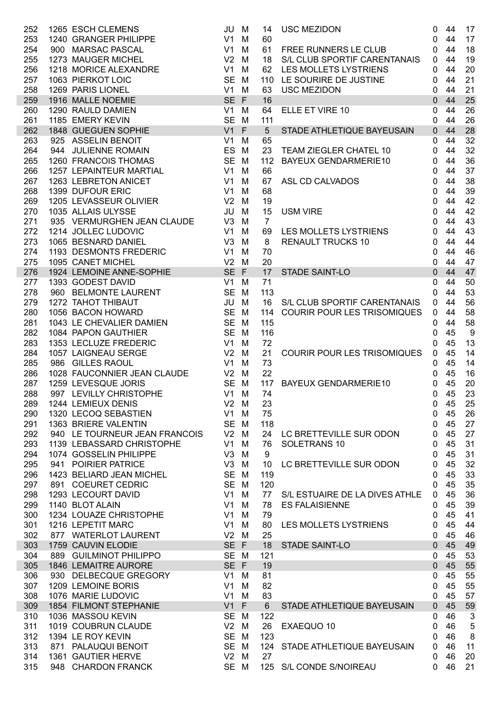| 252 | 1265 ESCH CLEMENS             | JU             | M | 14              | <b>USC MEZIDON</b>                 | $\mathbf 0$  | 44 | 17                        |
|-----|-------------------------------|----------------|---|-----------------|------------------------------------|--------------|----|---------------------------|
| 253 | 1240 GRANGER PHILIPPE         | V1             | M | 60              |                                    | 0            | 44 | 17                        |
| 254 | 900 MARSAC PASCAL             | V <sub>1</sub> | M | 61              | FREE RUNNERS LE CLUB               | 0            | 44 | 18                        |
| 255 | 1273 MAUGER MICHEL            | V <sub>2</sub> | M | 18              | S/L CLUB SPORTIF CARENTANAIS       | 0            | 44 | 19                        |
| 256 | 1218 MORICE ALEXANDRE         | V1             | M |                 | 62 LES MOLLETS LYSTRIENS           | 0            | 44 | 20                        |
| 257 | 1063 PIERKOT LOIC             | SE M           |   |                 | 110 LE SOURIRE DE JUSTINE          | 0            | 44 | 21                        |
| 258 | 1269 PARIS LIONEL             | $V1$ M         |   | 63              | <b>USC MEZIDON</b>                 | 0            | 44 | 21                        |
| 259 | 1916 MALLE NOEMIE             | SE F           |   | 16              |                                    | $\mathbf 0$  | 44 | 25                        |
| 260 | 1290 RAULD DAMIEN             | V1             | M | 64              | ELLE ET VIRE 10                    | $\mathbf 0$  | 44 | 26                        |
| 261 | 1185 EMERY KEVIN              | SE M           |   | 111             |                                    | 0            | 44 | 26                        |
| 262 | 1848 GUEGUEN SOPHIE           | $V1$ F         |   | $5\phantom{.0}$ | STADE ATHLETIQUE BAYEUSAIN         | $\mathbf{0}$ | 44 | 28                        |
| 263 | 925 ASSELIN BENOIT            | V1             | M | 65              |                                    | 0            | 44 | 32                        |
| 264 | 944 JULIENNE ROMAIN           | ES             | M | 23              | TEAM ZIEGLER CHATEL 10             | $\mathbf 0$  | 44 | 32                        |
| 265 | 1260 FRANCOIS THOMAS          | SE M           |   | 112             | <b>BAYEUX GENDARMERIE10</b>        | $\mathbf 0$  | 44 | 36                        |
| 266 | 1257 LEPAINTEUR MARTIAL       | V1             | M | 66              |                                    | 0            | 44 | 37                        |
| 267 | 1263 LEBRETON ANICET          | V <sub>1</sub> | M | 67              | ASL CD CALVADOS                    | $\mathbf 0$  | 44 | 38                        |
| 268 | 1399 DUFOUR ERIC              | V <sub>1</sub> | M | 68              |                                    | 0            | 44 | 39                        |
| 269 | 1205 LEVASSEUR OLIVIER        | V <sub>2</sub> | M | 19              |                                    | $\pmb{0}$    | 44 | 42                        |
| 270 | 1035 ALLAIS ULYSSE            | JU             | M | 15              | <b>USM VIRE</b>                    | $\mathbf 0$  | 44 | 42                        |
| 271 | 935 VERMURGHEN JEAN CLAUDE    | V3             | M | $\overline{7}$  |                                    | $\mathbf 0$  | 44 | 43                        |
| 272 | 1214 JOLLEC LUDOVIC           | V1             | M | 69              | LES MOLLETS LYSTRIENS              | $\mathbf 0$  | 44 | 43                        |
| 273 | 1065 BESNARD DANIEL           | V <sub>3</sub> | M | 8               | <b>RENAULT TRUCKS 10</b>           | $\mathbf 0$  | 44 | 44                        |
| 274 | 1193 DESMONTS FREDERIC        | V1             | M | 70              |                                    | 0            | 44 | 46                        |
| 275 | 1095 CANET MICHEL             | $V2$ M         |   | 20              |                                    | 0            | 44 | 47                        |
| 276 | 1924 LEMOINE ANNE-SOPHIE      | SE F           |   | 17              | STADE SAINT-LO                     | $\mathbf 0$  | 44 | 47                        |
| 277 | 1393 GODEST DAVID             | V1             | M | 71              |                                    | 0            | 44 | 50                        |
| 278 | 960 BELMONTE LAURENT          | SE M           |   | 113             |                                    | 0            | 44 | 53                        |
| 279 | 1272 TAHOT THIBAUT            | JU             | M | 16              | S/L CLUB SPORTIF CARENTANAIS       | 0            | 44 | 56                        |
| 280 | 1056 BACON HOWARD             | SE M           |   | 114             | <b>COURIR POUR LES TRISOMIQUES</b> | 0            | 44 | 58                        |
| 281 | 1043 LE CHEVALIER DAMIEN      | SE M           |   | 115             |                                    | 0            | 44 | 58                        |
| 282 | 1084 PAPON GAUTHIER           | SE M           |   | 116             |                                    | 0            | 45 | 9                         |
| 283 | 1353 LECLUZE FREDERIC         | V1             | M | 72              |                                    | 0            | 45 | 13                        |
| 284 | 1057 LAIGNEAU SERGE           | V <sub>2</sub> | M | 21              | <b>COURIR POUR LES TRISOMIQUES</b> | 0            | 45 | 14                        |
| 285 | 986 GILLES RAOUL              | V1             | M | 73              |                                    | 0            | 45 | 14                        |
| 286 | 1028 FAUCONNIER JEAN CLAUDE   | V <sub>2</sub> | M | 22              |                                    | 0            | 45 | 16                        |
| 287 | 1259 LEVESQUE JORIS           | SE M           |   | 117             | <b>BAYEUX GENDARMERIE10</b>        | $\mathbf{0}$ | 45 | 20                        |
| 288 | 997 LEVILLY CHRISTOPHE        | $V1$ M         |   | 74              |                                    | 0            | 45 | 23                        |
| 289 | 1244 LEMIEUX DENIS            | $V2$ M         |   | 23              |                                    | $\pmb{0}$    | 45 | 25                        |
| 290 | 1320 LECOQ SEBASTIEN          | V1             | M | 75              |                                    | 0            | 45 | 26                        |
| 291 | 1363 BRIERE VALENTIN          | SE M           |   | 118             |                                    | 0            | 45 | 27                        |
| 292 | 940 LE TOURNEUR JEAN FRANCOIS | $V2$ M         |   | 24              | LC BRETTEVILLE SUR ODON            | 0            | 45 | 27                        |
| 293 | 1139 LEBASSARD CHRISTOPHE     | V1             | M | 76              | SOLETRANS 10                       | 0            | 45 | 31                        |
| 294 | 1074 GOSSELIN PHILIPPE        | V <sub>3</sub> | M | 9               |                                    | 0            | 45 | 31                        |
| 295 | 941 POIRIER PATRICE           | V <sub>3</sub> | M | 10              | LC BRETTEVILLE SUR ODON            | 0            | 45 | 32                        |
| 296 | 1423 BELIARD JEAN MICHEL      | <b>SE</b>      | M | 119             |                                    | 0            | 45 | 33                        |
| 297 | 891 COEURET CEDRIC            | <b>SE</b>      | M | 120             |                                    | 0            | 45 | 35                        |
| 298 | 1293 LECOURT DAVID            | V <sub>1</sub> | M | 77              | S/L ESTUAIRE DE LA DIVES ATHLE     | 0            | 45 | 36                        |
| 299 | 1140 BLOT ALAIN               | V <sub>1</sub> | M | 78              | <b>ES FALAISIENNE</b>              | 0            | 45 | 39                        |
| 300 | 1234 LOUAZE CHRISTOPHE        | V <sub>1</sub> | M | 79              |                                    | 0            | 45 | 41                        |
| 301 | 1216 LEPETIT MARC             | V <sub>1</sub> | M | 80              | LES MOLLETS LYSTRIENS              | 0            | 45 | 44                        |
| 302 | 877 WATERLOT LAURENT          | $V2$ M         |   | 25              |                                    | $\mathbf{0}$ | 45 | 46                        |
| 303 | 1759 CAUVIN ELODIE            | SE F           |   | 18              | <b>STADE SAINT-LO</b>              | $\mathbf 0$  | 45 | 49                        |
| 304 | 889 GUILMINOT PHILIPPO        | SE M           |   | 121             |                                    | 0            | 45 | 53                        |
| 305 | <b>1846 LEMAITRE AURORE</b>   | SE F           |   | 19              |                                    | $\pmb{0}$    | 45 | 55                        |
| 306 | 930 DELBECQUE GREGORY         | V1             | M | 81              |                                    | 0            | 45 | 55                        |
| 307 | 1209 LEMOINE BORIS            | V <sub>1</sub> | M | 82              |                                    | 0            | 45 | 55                        |
| 308 | 1076 MARIE LUDOVIC            | V <sub>1</sub> | M | 83              |                                    | 0            | 45 | 57                        |
| 309 | 1854 FILMONT STEPHANIE        | $V1$ F         |   | $6\phantom{a}$  | STADE ATHLETIQUE BAYEUSAIN         | $\mathbf 0$  | 45 | 59                        |
| 310 | 1036 MASSOU KEVIN             | SE M           |   | 122             |                                    | 0            | 46 | $\ensuremath{\mathsf{3}}$ |
| 311 | 1019 COUBRUN CLAUDE           | $V2$ M         |   | 26              | EXAEQUO 10                         | 0            | 46 | 5                         |
| 312 | 1394 LE ROY KEVIN             | SE M           |   | 123             |                                    | 0            | 46 | 8                         |
| 313 | 871 PALAUQUI BENOIT           | SE M           |   | 124             | STADE ATHLETIQUE BAYEUSAIN         | 0            | 46 | 11                        |
| 314 | 1361 GAUTIER HERVE            | V <sub>2</sub> | M | 27              |                                    | 0            | 46 | 20                        |
| 315 | 948 CHARDON FRANCK            | SE M           |   | 125             | S/L CONDE S/NOIREAU                | 0            | 46 | 21                        |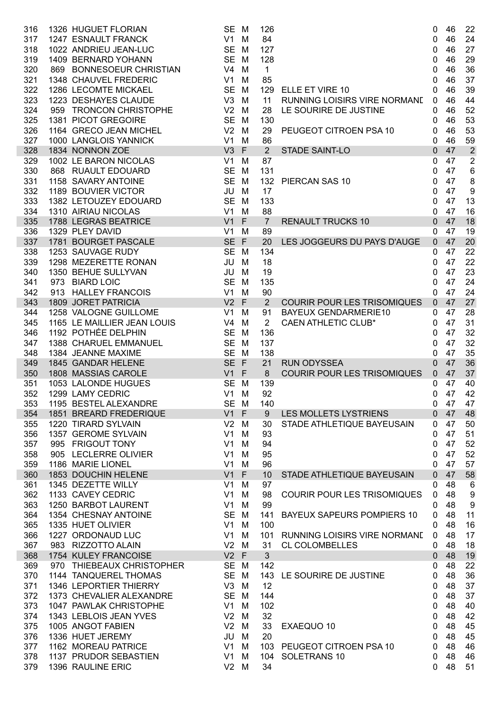| 316        | 1326 HUGUET FLORIAN                          | SE M                     |        | 126            |                                     | 0                 | 46       | 22                          |
|------------|----------------------------------------------|--------------------------|--------|----------------|-------------------------------------|-------------------|----------|-----------------------------|
| 317        | 1247 ESNAULT FRANCK                          | $V1$ M                   |        | 84             |                                     | 0                 | 46       | 24                          |
| 318<br>319 | 1022 ANDRIEU JEAN-LUC<br>1409 BERNARD YOHANN | SE M<br>SE M             |        | 127<br>128     |                                     | 0<br>0            | 46<br>46 | 27<br>29                    |
| 320        | 869 BONNESOEUR CHRISTIAN                     | $V4$ M                   |        | $\mathbf{1}$   |                                     | 0                 | 46       | 36                          |
| 321        | 1348 CHAUVEL FREDERIC                        | V1                       | M      | 85             |                                     | 0                 | 46       | 37                          |
| 322        | 1286 LECOMTE MICKAEL                         | SE M                     |        | 129            | ELLE ET VIRE 10                     | 0                 | 46       | 39                          |
| 323        | 1223 DESHAYES CLAUDE                         | $V3$ M                   |        | 11             | RUNNING LOISIRS VIRE NORMAND        | $\mathbf{0}$      | 46       | 44                          |
| 324        | 959 TRONCON CHRISTOPHE                       | $V2$ M                   |        | 28             | LE SOURIRE DE JUSTINE               | 0                 | 46       | 52                          |
| 325        | 1381 PICOT GREGOIRE                          | SE M                     |        | 130            |                                     | 0                 | 46       | 53                          |
| 326        | 1164 GRECO JEAN MICHEL                       | $V2$ M                   |        | 29             | PEUGEOT CITROEN PSA 10              | $\mathbf{0}$      | 46       | 53                          |
| 327        | 1000 LANGLOIS YANNICK                        | V1                       | M      | 86             |                                     | 0                 | 46       | 59                          |
| 328        | 1834 NONNON ZOE                              | V3                       | F      | $\overline{2}$ | STADE SAINT-LO                      | $\mathbf 0$       | 47       | $\overline{2}$              |
| 329        | 1002 LE BARON NICOLAS                        | V1                       | M      | 87             |                                     | $\mathbf 0$       | 47       | $\overline{2}$              |
| 330        | 868 RUAULT EDOUARD                           | SE M                     |        | 131            |                                     | 0                 | 47       | $\,6$                       |
| 331<br>332 | 1158 SAVARY ANTOINE<br>1189 BOUVIER VICTOR   | SE M<br>JU M             |        | 132<br>17      | PIERCAN SAS 10                      | $\mathbf 0$       | 47<br>47 | $\bf 8$<br>$\boldsymbol{9}$ |
| 333        | 1382 LETOUZEY EDOUARD                        | SE M                     |        | 133            |                                     | 0<br>$\mathbf{0}$ | 47       | 13                          |
| 334        | 1310 AIRIAU NICOLAS                          | V1                       | M      | 88             |                                     | 0                 | 47       | 16                          |
| 335        | 1788 LEGRAS BEATRICE                         | V1                       | F      | $\overline{7}$ | <b>RENAULT TRUCKS 10</b>            | $\mathbf{0}$      | 47       | 18                          |
| 336        | 1329 PLEY DAVID                              | V1                       | M      | 89             |                                     | $\mathbf{0}$      | 47       | 19                          |
| 337        | 1781 BOURGET PASCALE                         | SE F                     |        | 20             | LES JOGGEURS DU PAYS D'AUGE         | $\mathbf{0}$      | 47       | 20                          |
| 338        | 1253 SAUVAGE RUDY                            | SE M                     |        | 134            |                                     | 0                 | 47       | 22                          |
| 339        | 1298 MEZERETTE RONAN                         | JU                       | M      | 18             |                                     | 0                 | 47       | 22                          |
| 340        | 1350 BEHUE SULLYVAN                          | JU                       | M      | 19             |                                     | 0                 | 47       | 23                          |
| 341        | 973 BIARD LOIC                               | SE M                     |        | 135            |                                     | 0                 | 47       | 24                          |
| 342        | 913 HALLEY FRANCOIS                          | V1                       | M      | 90             |                                     | 0                 | 47       | 24                          |
| 343        | 1809 JORET PATRICIA                          | $V2$ F                   |        | 2 <sup>1</sup> | <b>COURIR POUR LES TRISOMIQUES</b>  | $\overline{0}$    | 47       | 27                          |
| 344        | 1258 VALOGNE GUILLOME                        | $V1$ M                   |        | 91             | <b>BAYEUX GENDARMERIE10</b>         | $\mathbf{0}$      | 47       | 28                          |
| 345        | 1165 LE MAILLIER JEAN LOUIS                  | $V4$ M                   |        | $\overline{2}$ | <b>CAEN ATHLETIC CLUB*</b>          | 0                 | 47       | 31                          |
| 346        | 1192 POTHÉE DELPHIN<br>1388 CHARUEL EMMANUEL | SE M<br>SE M             |        | 136<br>137     |                                     | 0                 | 47<br>47 | 32<br>32                    |
| 347<br>348 | 1384 JEANNE MAXIME                           | SE M                     |        | 138            |                                     | 0<br>0            | 47       | 35                          |
| 349        | 1845 GANDAR HELENE                           | SE F                     |        | 21             | <b>RUN ODYSSEA</b>                  | 0                 | 47       | 36                          |
| 350        | 1808 MASSIAS CAROLE                          | $V1$ F                   |        | 8              | <b>COURIR POUR LES TRISOMIQUES</b>  | $\mathbf{0}$      | 47       | 37                          |
| 351        | 1053 LALONDE HUGUES                          | SE M                     |        | 139            |                                     | 0                 | 47       | 40                          |
| 352        | 1299 LAMY CEDRIC                             | V1                       | M      | 92             |                                     | 0                 | 47       | 42                          |
| 353        | 1195 BESTEL ALEXANDRE                        | SE M                     |        | 140            |                                     | 0                 | 47       | 47                          |
| 354        | 1851 BREARD FREDERIQUE                       | $V1$ F                   |        | 9              | LES MOLLETS LYSTRIENS               | $\overline{0}$    | 47       | 48                          |
| 355        | 1220 TIRARD SYLVAIN                          | V <sub>2</sub>           | M      | 30             | STADE ATHLETIQUE BAYEUSAIN          | 0                 | 47       | 50                          |
| 356        | 1357 GEROME SYLVAIN                          | V <sub>1</sub>           | M      | 93             |                                     | 0                 | 47       | 51                          |
| 357        | 995 FRIGOUT TONY                             | V <sub>1</sub>           | M      | 94             |                                     | 0                 | 47       | 52                          |
| 358        | 905 LECLERRE OLIVIER                         | V <sub>1</sub>           | M      | 95             |                                     | 0                 | 47       | 52                          |
| 359        | 1186 MARIE LIONEL                            | V1                       | M      | 96             |                                     | 0                 | 47<br>47 | 57                          |
| 360<br>361 | 1853 DOUCHIN HELENE<br>1345 DEZETTE WILLY    | V1<br>V <sub>1</sub>     | F<br>M | 10<br>97       | STADE ATHLETIQUE BAYEUSAIN          | $\mathbf{0}$<br>0 | 48       | 58<br>$\,6$                 |
| 362        | 1133 CAVEY CEDRIC                            | V <sub>1</sub>           | M      | 98             | <b>COURIR POUR LES TRISOMIQUES</b>  | 0                 | 48       | $\boldsymbol{9}$            |
| 363        | 1250 BARBOT LAURENT                          | V1                       | M      | 99             |                                     | 0                 | 48       | $\boldsymbol{9}$            |
| 364        | 1354 CHESNAY ANTOINE                         | SE M                     |        | 141            | <b>BAYEUX SAPEURS POMPIERS 10</b>   | 0                 | 48       | 11                          |
| 365        | 1335 HUET OLIVIER                            | $V1$ M                   |        | 100            |                                     | 0                 | 48       | 16                          |
| 366        | 1227 ORDONAUD LUC                            | $V1$ M                   |        | 101            | <b>RUNNING LOISIRS VIRE NORMANE</b> | 0                 | 48       | 17                          |
| 367        | 983 RIZZOTTO ALAIN                           | $V2$ M                   |        | 31             | <b>CL COLOMBELLES</b>               | 0                 | 48       | 18                          |
| 368        | 1754 KULEY FRANCOISE                         | $V2$ F                   |        | 3              |                                     | $\mathbf 0$       | 48       | 19                          |
| 369        | 970 THIEBEAUX CHRISTOPHER                    | SE M                     |        | 142            |                                     | 0                 | 48       | 22                          |
| 370        | 1144 TANQUEREL THOMAS                        | SE M                     |        |                | 143 LE SOURIRE DE JUSTINE           | 0                 | 48       | 36                          |
| 371        | 1346 LEPORTIER THIERRY                       | $V3$ M                   |        | 12             |                                     | 0                 | 48       | 37                          |
| 372        | 1373 CHEVALIER ALEXANDRE                     | SE M                     |        | 144            |                                     | 0                 | 48       | 37                          |
| 373        | 1047 PAWLAK CHRISTOPHE                       | V1                       | M      | 102            |                                     | 0                 | 48       | 40                          |
| 374<br>375 | 1343 LEBLOIS JEAN YVES<br>1005 ANGOT FABIEN  | V <sub>2</sub><br>$V2$ M | M      | 32<br>33       |                                     | 0                 | 48<br>48 | 42<br>45                    |
| 376        | 1336 HUET JEREMY                             | JU                       | M      | 20             | EXAEQUO 10                          | 0<br>0            | 48       | 45                          |
| 377        | 1162 MOREAU PATRICE                          | V1                       | M      | 103            | PEUGEOT CITROEN PSA 10              | 0                 | 48       | 46                          |
| 378        | 1137 PRUDOR SEBASTIEN                        | V1                       | M      | 104            | SOLETRANS 10                        | 0                 | 48       | 46                          |
| 379        | 1396 RAULINE ERIC                            | V <sub>2</sub>           | M      | 34             |                                     | 0                 | 48       | 51                          |
|            |                                              |                          |        |                |                                     |                   |          |                             |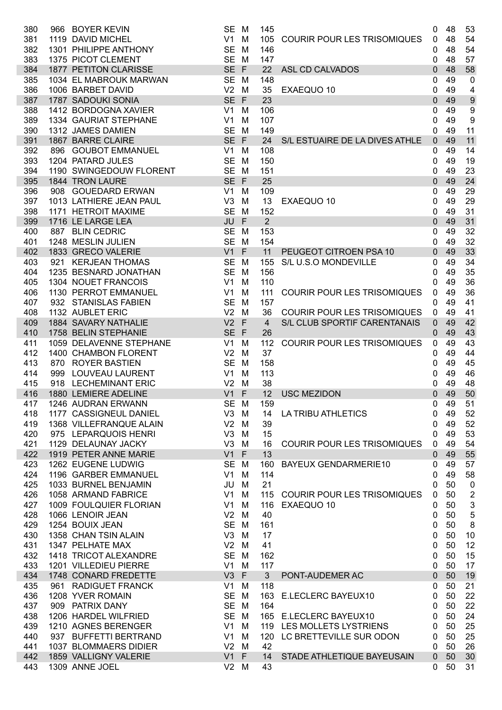| 380        | 966 | <b>BOYER KEVIN</b>                           | <b>SE</b>                   | M                | 145            |                                    | 0                | 48       | 53                        |
|------------|-----|----------------------------------------------|-----------------------------|------------------|----------------|------------------------------------|------------------|----------|---------------------------|
| 381        |     | 1119 DAVID MICHEL                            | V <sub>1</sub>              | M                | 105            | <b>COURIR POUR LES TRISOMIQUES</b> | 0                | 48       | 54                        |
| 382        |     | 1301 PHILIPPE ANTHONY                        | <b>SE</b>                   | M                | 146            |                                    | 0                | 48       | 54                        |
| 383        |     | 1375 PICOT CLEMENT                           | <b>SE</b>                   | M                | 147            |                                    | 0                | 48       | 57                        |
| 384        |     | 1877 PETITON CLARISSE                        | SE F                        |                  | 22             | <b>ASL CD CALVADOS</b>             | 0                | 48       | 58                        |
| 385        |     | 1034 EL MABROUK MARWAN                       | SE M                        |                  | 148            |                                    | 0                | 49       | $\mathbf 0$               |
| 386        |     | 1006 BARBET DAVID                            | V <sub>2</sub>              | M                | 35             | EXAEQUO 10                         | 0                | 49       | 4                         |
| 387        |     | 1787 SADOUKI SONIA                           | <b>SE</b>                   | $\mathsf{F}$     | 23             |                                    | 0                | 49       | $\boldsymbol{9}$          |
| 388        |     | 1412 BORDOGNA XAVIER                         | V <sub>1</sub>              | M                | 106            |                                    | 0                | 49       | $\boldsymbol{9}$          |
| 389        |     | 1334 GAURIAT STEPHANE                        | V <sub>1</sub>              | M                | 107            |                                    | $\Omega$         | 49       | 9                         |
| 390        |     | 1312 JAMES DAMIEN                            | <b>SE</b>                   | M                | 149            |                                    | 0                | 49       | 11                        |
| 391        |     | 1867 BARRE CLAIRE                            | SE F                        |                  | 24             | S/L ESTUAIRE DE LA DIVES ATHLE     | $\Omega$         | 49       | 11                        |
| 392        |     | 896 GOUBOT EMMANUEL                          | V <sub>1</sub>              | M                | 108            |                                    | 0                | 49       | 14                        |
| 393        |     | 1204 PATARD JULES                            | <b>SE</b>                   | M                | 150            |                                    | 0                | 49       | 19                        |
| 394        |     | 1190 SWINGEDOUW FLORENT                      | <b>SE</b>                   | M                | 151            |                                    | 0                | 49       | 23                        |
| 395        |     | 1844 TRON LAURE                              | SE F                        |                  | 25             |                                    | 0                | 49       | 24                        |
| 396        |     | 908 GOUEDARD ERWAN                           | V <sub>1</sub>              | M                | 109            |                                    | 0                | 49       | 29                        |
| 397        |     | 1013 LATHIERE JEAN PAUL                      | V <sub>3</sub>              | M                | 13             | EXAEQUO 10                         | 0                | 49       | 29                        |
| 398        |     | 1171 HETROIT MAXIME                          | <b>SE</b>                   | M                | 152            |                                    | 0                | 49       | 31                        |
| 399        |     | 1716 LE LARGE LEA                            | JU                          | F                | 2              |                                    | $\mathbf 0$      | 49       | 31                        |
| 400        |     | 887 BLIN CEDRIC                              | <b>SE</b>                   | M                | 153            |                                    | 0                | 49       | 32                        |
| 401        |     | 1248 MESLIN JULIEN<br>1833 GRECO VALERIE     | <b>SE</b>                   | M                | 154            |                                    | 0                | 49       | 32                        |
| 402        |     |                                              | V1                          | F                | 11             | PEUGEOT CITROEN PSA 10             | $\mathbf 0$      | 49<br>49 | 33                        |
| 403<br>404 |     | 921 KERJEAN THOMAS                           | <b>SE</b><br><b>SE</b>      | M                | 155<br>156     | S/L U.S.O MONDEVILLE               | 0                | 49       | 34<br>35                  |
| 405        |     | 1235 BESNARD JONATHAN<br>1304 NOUET FRANCOIS | V <sub>1</sub>              | M<br>м           | 110            |                                    | 0<br>0           | 49       | 36                        |
| 406        |     | 1130 PERROT EMMANUEL                         | V <sub>1</sub>              | M                | 111            | <b>COURIR POUR LES TRISOMIQUES</b> | $\Omega$         | 49       | 36                        |
| 407        |     | 932 STANISLAS FABIEN                         | <b>SE</b>                   | M                | 157            |                                    | 0                | 49       | 41                        |
| 408        |     | 1132 AUBLET ERIC                             | V <sub>2</sub>              | M                | 36             | <b>COURIR POUR LES TRISOMIQUES</b> | 0                | 49       | 41                        |
| 409        |     | 1884 SAVARY NATHALIE                         | V <sub>2</sub>              | $\mathsf F$      | $\overline{4}$ | S/L CLUB SPORTIF CARENTANAIS       | $\Omega$         | 49       | 42                        |
| 410        |     | 1758 BELIN STEPHANIE                         | <b>SE</b>                   | $\mathsf{F}$     | 26             |                                    | 0                | 49       | 43                        |
| 411        |     | 1059 DELAVENNE STEPHANE                      | V <sub>1</sub>              | M                | 112            | <b>COURIR POUR LES TRISOMIQUES</b> | $\Omega$         | 49       | 43                        |
| 412        |     | 1400 CHAMBON FLORENT                         | V <sub>2</sub>              | м                | 37             |                                    | 0                | 49       | 44                        |
| 413        |     | 870 ROYER BASTIEN                            | <b>SE</b>                   | M                | 158            |                                    | 0                | 49       | 45                        |
| 414        |     | 999 LOUVEAU LAURENT                          | V1                          | M                | 113            |                                    | 0                | 49       | 46                        |
| 415        |     | 918 LECHEMINANT ERIC                         | V <sub>2</sub>              | M                | 38             |                                    | 0                | 49       | 48                        |
| 416        |     | 1880 LEMIERE ADELINE                         | V <sub>1</sub>              | F                | 12             | <b>USC MEZIDON</b>                 | $\Omega$         | 49       | 50                        |
| 417        |     | 1246  AUDRAN ERWANN                          | SE M                        |                  | 159            |                                    | $\mathbf 0$      | 49       | 51                        |
| 418        |     | 1177 CASSIGNEUL DANIEL                       | V <sub>3</sub>              | M                | 14             | <b>LA TRIBU ATHLETICS</b>          | 0                | 49       | 52                        |
| 419        |     | 1368 VILLEFRANQUE ALAIN                      | V <sub>2</sub>              | M                | 39             |                                    | 0                | 49       | 52                        |
| 420        |     | 975 LEPARQUOIS HENRI                         | V <sub>3</sub>              | M                | 15             |                                    | 0                | 49       | 53                        |
| 421        |     | 1129 DELAUNAY JACKY                          | V <sub>3</sub>              | M                | 16             | <b>COURIR POUR LES TRISOMIQUES</b> | 0                | 49       | 54                        |
| 422        |     | 1919 PETER ANNE MARIE                        | V1                          | $\mathsf{F}$     | 13             |                                    | $\mathbf 0$      | 49       | 55                        |
| 423        |     | 1262 EUGENE LUDWIG                           | <b>SE</b>                   | M                | 160            | <b>BAYEUX GENDARMERIE10</b>        | 0                | 49       | 57                        |
| 424        |     | 1196 GARBER EMMANUEL                         | V <sub>1</sub>              | M                | 114            |                                    | 0                | 49       | 58                        |
| 425        |     | 1033 BURNEL BENJAMIN                         | JU                          | M                | 21             |                                    | 0                | 50       | $\pmb{0}$                 |
| 426        |     | 1058 ARMAND FABRICE                          | V1                          | M                | 115            | <b>COURIR POUR LES TRISOMIQUES</b> | 0                | 50       | $\boldsymbol{2}$          |
| 427        |     | 1009 FOULQUIER FLORIAN                       | V1                          | M                | 116            | EXAEQUO 10                         | 0                | 50       | $\ensuremath{\mathsf{3}}$ |
| 428        |     | 1066 LENOIR JEAN                             | V <sub>2</sub>              | M                | 40             |                                    | 0                | 50       | 5                         |
| 429        |     | 1254 BOUIX JEAN                              | <b>SE</b>                   | M                | 161            |                                    | 0                | 50       | 8                         |
| 430        |     | 1358 CHAN TSIN ALAIN                         | V <sub>3</sub>              | M                | 17             |                                    | 0                | 50       | 10                        |
| 431        |     | 1347 PELHATE MAX                             | V <sub>2</sub>              | M                | 41             |                                    | 0                | 50       | 12                        |
| 432        |     | 1418 TRICOT ALEXANDRE                        | <b>SE</b>                   | M                | 162            |                                    | 0                | 50       | 15                        |
| 433        |     | 1201 VILLEDIEU PIERRE                        | V1                          | M                | 117            |                                    | 0                | 50       | 17                        |
| 434        |     | 1748 CONARD FREDETTE<br>961 RADIGUET FRANCK  | V3                          | $\mathsf F$<br>M | 3<br>118       | PONT-AUDEMER AC                    | $\mathbf 0$<br>0 | 50<br>50 | 19<br>21                  |
| 435<br>436 |     | 1208 YVER ROMAIN                             | V <sub>1</sub><br><b>SE</b> | M                | 163            | E.LECLERC BAYEUX10                 | 0                | 50       | 22                        |
| 437        |     | 909 PATRIX DANY                              | <b>SE</b>                   | M                | 164            |                                    | 0                | 50       | 22                        |
| 438        |     | 1206 HARDEL WILFRIED                         | <b>SE</b>                   | M                | 165            | E.LECLERC BAYEUX10                 | 0                | 50       | 24                        |
| 439        |     | 1210 AGNES BERENGER                          | V <sub>1</sub>              | M                |                | 119 LES MOLLETS LYSTRIENS          | 0                | 50       | 25                        |
| 440        |     | 937 BUFFETTI BERTRAND                        | V1                          | M                | 120            | LC BRETTEVILLE SUR ODON            | 0                | 50       | 25                        |
| 441        |     | 1037 BLOMMAERS DIDIER                        | V <sub>2</sub>              | M                | 42             |                                    | 0                | 50       | 26                        |
| 442        |     | 1859 VALLIGNY VALERIE                        | V1                          | $\mathsf F$      | 14             | STADE ATHLETIQUE BAYEUSAIN         | $\mathbf 0$      | 50       | 30                        |
| 443        |     | 1309 ANNE JOEL                               | V <sub>2</sub>              | M                | 43             |                                    | $\mathbf{0}$     | 50       | 31                        |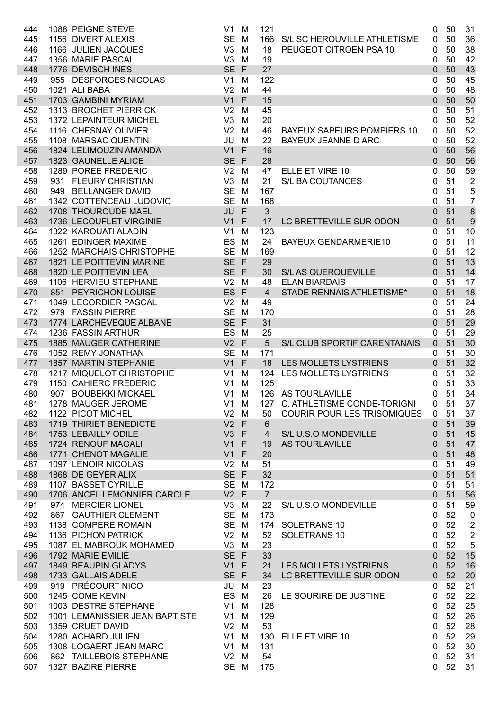| 444 | 1088 PEIGNE STEVE              | V <sub>1</sub> | M            | 121               |                                    | 0              | 50 | 31                      |
|-----|--------------------------------|----------------|--------------|-------------------|------------------------------------|----------------|----|-------------------------|
| 445 | 1156 DIVERT ALEXIS             | SE M           |              | 166               | S/L SC HEROUVILLE ATHLETISME       | 0              | 50 | 36                      |
| 446 | 1166 JULIEN JACQUES            | V3             | M            | 18                | PEUGEOT CITROEN PSA 10             | 0              | 50 | 38                      |
| 447 | 1356 MARIE PASCAL              | V <sub>3</sub> | M            | 19                |                                    | 0              | 50 | 42                      |
| 448 | 1776 DEVISCH INES              | SE F           |              | 27                |                                    | 0              | 50 | 43                      |
| 449 | 955 DESFORGES NICOLAS          | V <sub>1</sub> | M            | 122               |                                    | 0              | 50 | 45                      |
| 450 | 1021 ALI BABA                  | V <sub>2</sub> | M            | 44                |                                    | 0              | 50 | 48                      |
| 451 | 1703 GAMBINI MYRIAM            | V <sub>1</sub> | F            | 15                |                                    | 0              | 50 | 50                      |
| 452 | 1313 BROCHET PIERRICK          | V <sub>2</sub> | M            | 45                |                                    | 0              | 50 | 51                      |
| 453 | 1372 LEPAINTEUR MICHEL         | V3             | M            | 20                |                                    | 0              | 50 | 52                      |
| 454 | 1116 CHESNAY OLIVIER           | V <sub>2</sub> | M            | 46                | <b>BAYEUX SAPEURS POMPIERS 10</b>  | 0              | 50 | 52                      |
|     | 1108 MARSAC QUENTIN            | JU             |              |                   | <b>BAYEUX JEANNE D ARC</b>         |                | 50 |                         |
| 455 |                                |                | M            | 22                |                                    | 0              |    | 52                      |
| 456 | 1824 LELIMOUZIN AMANDA         | V <sub>1</sub> | F            | 16                |                                    | 0              | 50 | 56                      |
| 457 | 1823 GAUNELLE ALICE            | <b>SE</b>      | $\mathsf{F}$ | 28                |                                    | 0              | 50 | 56                      |
| 458 | 1289 POREE FREDERIC            | V <sub>2</sub> | M            | 47                | ELLE ET VIRE 10                    | 0              | 50 | 59                      |
| 459 | 931 FLEURY CHRISTIAN           | V3             | M            | 21                | S/L BA COUTANCES                   | 0              | 51 | $\overline{2}$          |
| 460 | 949 BELLANGER DAVID            | <b>SE</b>      | M            | 167               |                                    | 0              | 51 | 5                       |
| 461 | 1342 COTTENCEAU LUDOVIC        | SE M           |              | 168               |                                    | 0              | 51 | 7                       |
| 462 | 1708 THOUROUDE MAEL            | JU             | F            | $\mathfrak{S}$    |                                    | 0              | 51 | $\boldsymbol{8}$        |
| 463 | 1736 LECOUFLET VIRGINIE        | V1             | F            | 17                | LC BRETTEVILLE SUR ODON            | 0              | 51 | $\overline{9}$          |
| 464 | 1322 KAROUATI ALADIN           | V <sub>1</sub> | M            | 123               |                                    | 0              | 51 | 10                      |
| 465 | 1261 EDINGER MAXIME            | <b>ES</b>      | M            | 24                | <b>BAYEUX GENDARMERIE10</b>        | 0              | 51 | 11                      |
| 466 | 1252 MARCHAIS CHRISTOPHE       | SE M           |              | 169               |                                    | 0              | 51 | 12                      |
| 467 | 1821 LE POITTEVIN MARINE       | SE F           |              | 29                |                                    | 0              | 51 | 13                      |
| 468 | 1820 LE POITTEVIN LEA          | SE F           |              | 30                | <b>S/L AS QUERQUEVILLE</b>         | 0              | 51 | 14                      |
| 469 | 1106 HERVIEU STEPHANE          | $V2$ M         |              | 48                | <b>ELAN BIARDAIS</b>               | 0              | 51 | 17                      |
| 470 | 851 PEYRICHON LOUISE           | ES F           |              | $\overline{4}$    | <b>STADE RENNAIS ATHLETISME*</b>   | 0              | 51 | 18                      |
| 471 | 1049 LECORDIER PASCAL          | V <sub>2</sub> | M            | 49                |                                    | 0              | 51 | 24                      |
| 472 | 979 FASSIN PIERRE              | SE M           |              | 170               |                                    | 0              | 51 | 28                      |
| 473 | 1774 LARCHEVEQUE ALBANE        | SE F           |              | 31                |                                    | 0              | 51 | 29                      |
|     |                                |                |              |                   |                                    |                |    |                         |
| 474 | 1236 FASSIN ARTHUR             | ES             | M            | 25                |                                    | 0              | 51 | 29                      |
| 475 | 1885 MAUGER CATHERINE          | $V2$ F         |              | 5                 | S/L CLUB SPORTIF CARENTANAIS       | 0              | 51 | 30                      |
| 476 | 1052 REMY JONATHAN             | SE M           |              | 171               |                                    | 0              | 51 | 30                      |
| 477 | 1857 MARTIN STEPHANIE          | V1             | F            | 18                | <b>LES MOLLETS LYSTRIENS</b>       | 0              | 51 | 32                      |
| 478 | 1217 MIQUELOT CHRISTOPHE       | V1             | м            | 124               | <b>LES MOLLETS LYSTRIENS</b>       | 0              | 51 | 32                      |
| 479 | 1150 CAHIERC FREDERIC          | V <sub>1</sub> | M            | 125               |                                    | 0              | 51 | 33                      |
| 480 | 907 BOUBEKKI MICKAEL           | V <sub>1</sub> | M            |                   | 126 AS TOURLAVILLE                 | 0              | 51 | 34                      |
| 481 | 1278 MAUGER JEROME             | $V1$ M         |              |                   | 127 C. ATHLETISME CONDE-TORIGNI    | $\mathbf{0}$   | 51 | 37                      |
| 482 | 1122 PICOT MICHEL              | $V2$ M         |              | 50                | <b>COURIR POUR LES TRISOMIQUES</b> | $\mathbf{0}$   | 51 | 37                      |
| 483 | 1719 THIRIET BENEDICTE         | $V2$ F         |              | $6\phantom{1}$    |                                    | 0              | 51 | 39                      |
| 484 | 1753 LEBAILLY ODILE            | $V3$ F         |              | $\overline{4}$    | S/L U.S.O MONDEVILLE               | 0              | 51 | 45                      |
| 485 | 1724 RENOUF MAGALI             | $V1$ F         |              | 19                | AS TOURLAVILLE                     | 0              | 51 | 47                      |
| 486 | 1771 CHENOT MAGALIE            | $V1$ F         |              | 20                |                                    | 0              | 51 | 48                      |
| 487 | 1097 LENOIR NICOLAS            | $V2$ M         |              | 51                |                                    | 0              | 51 | 49                      |
| 488 | 1868 DE GEYER ALIX             | SE F           |              | 32                |                                    | $\overline{0}$ | 51 | 51                      |
| 489 | 1107 BASSET CYRILLE            | SE M           |              | 172               |                                    | 0              | 51 | 51                      |
| 490 | 1706 ANCEL LEMONNIER CAROLE    | $V2$ F         |              | $\overline{7}$    |                                    | $\overline{0}$ | 51 | 56                      |
| 491 | 974 MERCIER LIONEL             | $V3$ M         |              | $22 \overline{ }$ | S/L U.S.O MONDEVILLE               | 0              | 51 | 59                      |
| 492 | 867 GAUTHIER CLEMENT           | SE M           |              | 173               |                                    | 0              | 52 | $\pmb{0}$               |
| 493 | 1138 COMPERE ROMAIN            | SE M           |              |                   | 174 SOLETRANS 10                   | 0              | 52 | $\overline{\mathbf{c}}$ |
| 494 | 1136 PICHON PATRICK            | $V2$ M         |              | 52                | SOLETRANS 10                       | 0              | 52 | $\mathbf 2$             |
| 495 | 1087 EL MABROUK MOHAMED        | $V3$ M         |              | 23                |                                    | 0              | 52 | $\overline{5}$          |
|     | 1792 MARIE EMILIE              | SE F           |              | 33                |                                    |                | 52 | 15                      |
| 496 |                                |                |              |                   |                                    | $\mathbf 0$    |    |                         |
| 497 | 1849 BEAUPIN GLADYS            | $V1$ F         |              | 21                | LES MOLLETS LYSTRIENS              | 0              | 52 | 16                      |
| 498 | 1733 GALLAIS ADELE             | SE F           |              | 34                | LC BRETTEVILLE SUR ODON            | $\mathbf{0}$   | 52 | 20                      |
| 499 | 919 PRÉCOURT NICO              | JU M           |              | 23                |                                    | 0              | 52 | 21                      |
| 500 | 1245 COME KEVIN                | ES M           |              | 26                | LE SOURIRE DE JUSTINE              | 0              | 52 | 22                      |
| 501 | 1003 DESTRE STEPHANE           | $V1$ M         |              | 128               |                                    | 0              | 52 | 25                      |
| 502 | 1001 LEMANISSIER JEAN BAPTISTE | $V1$ M         |              | 129               |                                    | 0              | 52 | 26                      |
| 503 | 1359 CRUET DAVID               | $V2$ M         |              | 53                |                                    | 0              | 52 | 28                      |
| 504 | 1280 ACHARD JULIEN             | $V1$ M         |              | 130               | ELLE ET VIRE 10                    | 0              | 52 | 29                      |
| 505 | 1308 LOGAERT JEAN MARC         | $V1$ M         |              | 131               |                                    | 0              | 52 | 30                      |
| 506 | 862 TAILLEBOIS STEPHANE        | $V2$ M         |              | 54                |                                    | 0              | 52 | 31                      |
| 507 | 1327 BAZIRE PIERRE             | SE M           |              | 175               |                                    | 0              | 52 | 31                      |
|     |                                |                |              |                   |                                    |                |    |                         |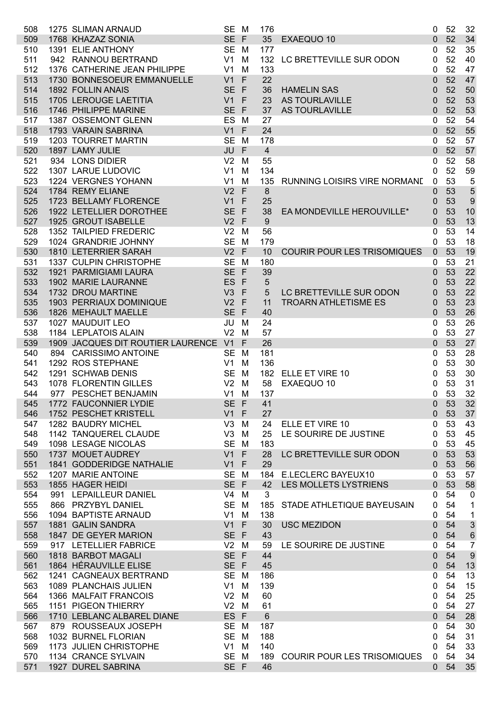| 508 | 1275 SLIMAN ARNAUD                   | SE M           |              | 176            |                                    | 0           | 52 | 32               |
|-----|--------------------------------------|----------------|--------------|----------------|------------------------------------|-------------|----|------------------|
| 509 | 1768 KHAZAZ SONIA                    | SE F           |              | 35             | EXAEQUO 10                         | 0           | 52 | 34               |
| 510 | 1391 ELIE ANTHONY                    | SE M           |              | 177            |                                    | 0           | 52 | 35               |
| 511 | 942 RANNOU BERTRAND                  | V1             | M            | 132            | LC BRETTEVILLE SUR ODON            | 0           | 52 | 40               |
| 512 | 1376 CATHERINE JEAN PHILIPPE         | V <sub>1</sub> | M            | 133            |                                    | 0           | 52 | 47               |
| 513 | 1730 BONNESOEUR EMMANUELLE           | V <sub>1</sub> | F            | 22             |                                    | 0           | 52 | 47               |
| 514 | 1892 FOLLIN ANAIS                    | SE F           |              | 36             | <b>HAMELIN SAS</b>                 | 0           | 52 | 50               |
| 515 | 1705 LEROUGE LAETITIA                | V1             | $\mathsf{F}$ | 23             | AS TOURLAVILLE                     | 0           | 52 | 53               |
|     |                                      |                |              |                |                                    |             |    |                  |
| 516 | 1746 PHILIPPE MARINE                 | SE F           |              | 37             | AS TOURLAVILLE                     | 0           | 52 | 53               |
| 517 | 1387 OSSEMONT GLENN                  | ES             | M            | 27             |                                    | 0           | 52 | 54               |
| 518 | 1793 VARAIN SABRINA                  | V1             | F            | 24             |                                    | 0           | 52 | 55               |
| 519 | 1203 TOURRET MARTIN                  | <b>SE</b>      | M            | 178            |                                    | 0           | 52 | 57               |
| 520 | 1897 LAMY JULIE                      | JU             | F            | $\overline{4}$ |                                    | 0           | 52 | 57               |
| 521 | 934 LONS DIDIER                      | V <sub>2</sub> | M            | 55             |                                    | 0           | 52 | 58               |
| 522 | 1307 LARUE LUDOVIC                   | V <sub>1</sub> | M            | 134            |                                    | 0           | 52 | 59               |
| 523 | 1224 VERGNES YOHANN                  | V <sub>1</sub> | M            | 135            | RUNNING LOISIRS VIRE NORMANE       | 0           | 53 | 5                |
| 524 | 1784 REMY ELIANE                     | V <sub>2</sub> | F            | $\bf 8$        |                                    | 0           | 53 | 5                |
| 525 | 1723 BELLAMY FLORENCE                | V <sub>1</sub> | $\mathsf F$  | 25             |                                    | 0           | 53 | 9                |
| 526 | 1922 LETELLIER DOROTHEE              | <b>SE</b>      | $\mathsf{F}$ | 38             | EA MONDEVILLE HEROUVILLE*          | 0           | 53 | 10               |
| 527 | 1925 GROUT ISABELLE                  | $V2$ F         |              | 9              |                                    | 0           | 53 | 13               |
| 528 | 1352 TAILPIED FREDERIC               | V <sub>2</sub> | M            | 56             |                                    | 0           | 53 | 14               |
| 529 | 1024 GRANDRIE JOHNNY                 | SE M           |              | 179            |                                    | 0           | 53 | 18               |
| 530 | 1810 LETERRIER SARAH                 | $V2$ F         |              | 10             | <b>COURIR POUR LES TRISOMIQUES</b> | 0           | 53 | 19               |
| 531 | 1337 CULPIN CHRISTOPHE               | SE M           |              | 180            |                                    | 0           | 53 | 21               |
| 532 | 1921 PARMIGIAMI LAURA                | SE F           |              | 39             |                                    | 0           | 53 | 22               |
| 533 | 1902 MARIE LAURANNE                  | ES             | $\mathsf{F}$ | $\sqrt{5}$     |                                    | 0           | 53 | 22               |
| 534 | 1732 DROU MARTINE                    | V3             | $\mathsf F$  | 5              | LC BRETTEVILLE SUR ODON            | 0           | 53 | 22               |
| 535 | 1903 PERRIAUX DOMINIQUE              | V <sub>2</sub> | $\mathsf F$  | 11             | <b>TROARN ATHLETISME ES</b>        |             | 53 | 23               |
|     | 1826 MEHAULT MAELLE                  | SE F           |              | 40             |                                    | 0           | 53 | 26               |
| 536 |                                      |                |              |                |                                    | 0           |    |                  |
| 537 | 1027 MAUDUIT LEO                     | JU             | M            | 24             |                                    | 0           | 53 | 26               |
| 538 | 1184 LEPLATOIS ALAIN                 | V <sub>2</sub> | M            | 57             |                                    | 0           | 53 | 27               |
| 539 | 1909 JACQUES DIT ROUTIER LAURENCE V1 |                | F            | 26             |                                    | 0           | 53 | 27               |
| 540 | 894 CARISSIMO ANTOINE                | <b>SE</b>      | M            | 181            |                                    | 0           | 53 | 28               |
| 541 | 1292 ROS STEPHANE                    | V1             | M            | 136            |                                    | 0           | 53 | 30               |
| 542 | 1291 SCHWAB DENIS                    | <b>SE</b>      | M            | 182            | <b>ELLE ET VIRE 10</b>             | 0           | 53 | 30               |
| 543 | 1078 FLORENTIN GILLES                | V <sub>2</sub> | M            | 58             | EXAEQUO 10                         | 0           | 53 | 31               |
| 544 | 977 PESCHET BENJAMIN                 | V1             | M            | 137            |                                    | 0           | 53 | 32               |
| 545 | 1772 FAUCONNIER LYDIE                | SE F           |              | 41             |                                    | $\pmb{0}$   | 53 | 32               |
| 546 | 1752 PESCHET KRISTELL                | $V1$ F         |              | 27             |                                    | 0           | 53 | 37               |
| 547 | 1282 BAUDRY MICHEL                   | V <sub>3</sub> | M            | 24             | ELLE ET VIRE 10                    | 0           | 53 | 43               |
| 548 | 1142 TANQUEREL CLAUDE                | V <sub>3</sub> | M            | 25             | LE SOURIRE DE JUSTINE              | 0           | 53 | 45               |
| 549 | 1098 LESAGE NICOLAS                  | SE M           |              | 183            |                                    | 0           | 53 | 45               |
| 550 | 1737 MOUET AUDREY                    | $V1$ F         |              | 28             | LC BRETTEVILLE SUR ODON            | 0           | 53 | 53               |
| 551 | 1841 GODDERIDGE NATHALIE             | V1             | $\mathsf{F}$ | 29             |                                    | 0           | 53 | 56               |
| 552 | 1207 MARIE ANTOINE                   | SE M           |              | 184            | E.LECLERC BAYEUX10                 | 0           | 53 | 57               |
| 553 | 1855 HAGER HEIDI                     | SE F           |              | 42             | LES MOLLETS LYSTRIENS              | $\mathbf 0$ | 53 | 58               |
| 554 | 991 LEPAILLEUR DANIEL                | V4             | M            | 3              |                                    | 0           | 54 | $\boldsymbol{0}$ |
| 555 | 866 PRZYBYL DANIEL                   | SE M           |              | 185            | STADE ATHLETIQUE BAYEUSAIN         | 0           | 54 | 1                |
| 556 | 1094 BAPTISTE ARNAUD                 | $V1$ M         |              | 138            |                                    | 0           | 54 | $\mathbf{1}$     |
| 557 | 1881 GALIN SANDRA                    | $V1$ F         |              | 30             | <b>USC MEZIDON</b>                 | 0           | 54 | $\sqrt{3}$       |
| 558 | 1847 DE GEYER MARION                 | SE F           |              | 43             |                                    | 0           | 54 | $\,6\,$          |
| 559 | 917 LETELLIER FABRICE                | $V2$ M         |              | 59             | LE SOURIRE DE JUSTINE              | 0           | 54 | $\overline{7}$   |
| 560 | 1818 BARBOT MAGALI                   | SE F           |              | 44             |                                    | 0           | 54 | $\boldsymbol{9}$ |
| 561 | 1864 HÉRAUVILLE ELISE                | SE F           |              | 45             |                                    | 0           | 54 | 13               |
| 562 | 1241 CAGNEAUX BERTRAND               | SE M           |              | 186            |                                    | 0           | 54 | 13               |
| 563 | 1089 PLANCHAIS JULIEN                | V1             | M            | 139            |                                    | 0           | 54 | 15               |
| 564 | 1366 MALFAIT FRANCOIS                | $V2$ M         |              | 60             |                                    | 0           | 54 | 25               |
| 565 | 1151 PIGEON THIERRY                  | $V2$ M         |              | 61             |                                    | 0           | 54 | 27               |
| 566 | 1710 LEBLANC ALBAREL DIANE           | ES F           |              | $6\phantom{1}$ |                                    | 0           | 54 | 28               |
| 567 | 879 ROUSSEAUX JOSEPH                 | SE M           |              | 187            |                                    | 0           | 54 | 30               |
| 568 | 1032 BURNEL FLORIAN                  | SE M           |              | 188            |                                    | 0           | 54 | 31               |
| 569 | 1173 JULIEN CHRISTOPHE               | $V1$ M         |              | 140            |                                    | 0           | 54 | 33               |
| 570 | 1134 CRANCE SYLVAIN                  | SE M           |              | 189            | <b>COURIR POUR LES TRISOMIQUES</b> | 0           | 54 | 34               |
| 571 | 1927 DUREL SABRINA                   | SE F           |              | 46             |                                    | $\mathbf 0$ | 54 | 35               |
|     |                                      |                |              |                |                                    |             |    |                  |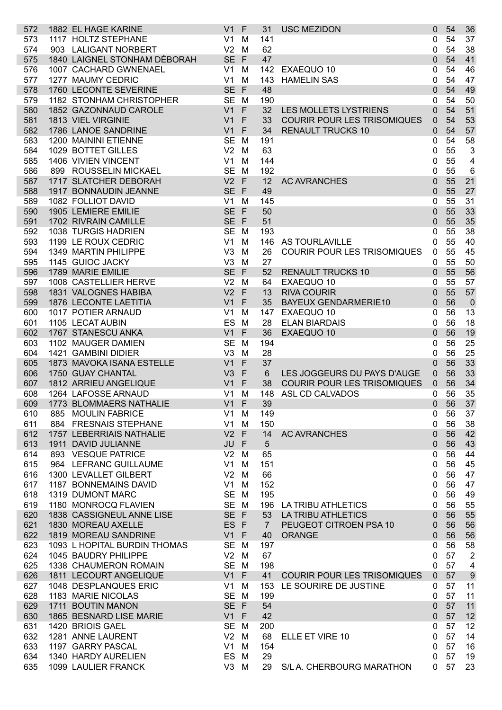| 573<br>574<br>575 | 1882 EL HAGE KARINE                        | V <sub>1</sub> | -F           | 31             | <b>USC MEZIDON</b>                 | $\mathbf 0$    | 54       | 36                      |
|-------------------|--------------------------------------------|----------------|--------------|----------------|------------------------------------|----------------|----------|-------------------------|
|                   | 1117 HOLTZ STEPHANE                        | V <sub>1</sub> | M            | 141            |                                    | 0              | 54       | 37                      |
|                   | 903 LALIGANT NORBERT                       | V <sub>2</sub> | M            | 62             |                                    | 0              | 54       | 38                      |
|                   | 1840 LAIGNEL STONHAM DÉBORAH               | SE F           |              | 47             |                                    | 0              | 54       | 41                      |
| 576               | 1007 CACHARD GWNENAEL                      | V <sub>1</sub> | M            | 142            | EXAEQUO 10                         | 0              | 54       | 46                      |
| 577               | 1277 MAUMY CEDRIC                          | V <sub>1</sub> | M            | 143            | <b>HAMELIN SAS</b>                 | 0              | 54       | 47                      |
| 578               | 1760 LECONTE SEVERINE                      | SE F           |              | 48             |                                    | 0              | 54       | 49                      |
| 579               | 1182 STONHAM CHRISTOPHER                   | SE M           |              | 190            |                                    | 0              | 54       | 50                      |
| 580               | 1852 GAZONNAUD CAROLE                      | V <sub>1</sub> | $\mathsf{F}$ | 32             | <b>LES MOLLETS LYSTRIENS</b>       | $\mathbf{0}$   | 54       | 51                      |
| 581               | 1813 VIEL VIRGINIE                         | V <sub>1</sub> | F            | 33             | <b>COURIR POUR LES TRISOMIQUES</b> | 0              | 54       | 53                      |
| 582               | 1786 LANOE SANDRINE                        | V <sub>1</sub> | F            | 34             | <b>RENAULT TRUCKS 10</b>           | 0              | 54       | 57                      |
| 583               | 1200 MAININI ETIENNE                       | <b>SE</b>      | M            | 191            |                                    | 0              | 54       | 58                      |
| 584               | 1029 BOTTET GILLES                         | V <sub>2</sub> | M            | 63             |                                    | 0              | 55       | $\mathsf 3$             |
| 585               | 1406 VIVIEN VINCENT                        | V <sub>1</sub> | M            | 144            |                                    | 0              | 55       | 4                       |
| 586               | 899 ROUSSELIN MICKAEL                      | SE M           |              | 192            |                                    | 0              | 55       | 6                       |
|                   | 1717 SLATCHER DEBORAH                      | $V2$ F         |              | 12             | <b>AC AVRANCHES</b>                |                | 55       | 21                      |
| 587               |                                            |                |              |                |                                    | $\mathbf{0}$   |          |                         |
| 588               | 1917 BONNAUDIN JEANNE                      | SE F           |              | 49             |                                    | 0              | 55       | 27                      |
| 589               | 1082 FOLLIOT DAVID                         | V <sub>1</sub> | M            | 145            |                                    | 0              | 55       | 31                      |
| 590               | 1905 LEMIERE EMILIE                        | SE F           |              | 50             |                                    | $\mathbf{0}$   | 55       | 33                      |
| 591               | 1702 RIVRAIN CAMILLE                       | SE F           |              | 51             |                                    | 0              | 55       | 35                      |
| 592               | 1038 TURGIS HADRIEN                        | <b>SE</b>      | M            | 193            |                                    | 0              | 55       | 38                      |
| 593               | 1199 LE ROUX CEDRIC                        | V <sub>1</sub> | M            | 146            | AS TOURLAVILLE                     | 0              | 55       | 40                      |
| 594               | 1349 MARTIN PHILIPPE                       | V <sub>3</sub> | M            | 26             | <b>COURIR POUR LES TRISOMIQUES</b> | 0              | 55       | 45                      |
| 595               | 1145 GUIOC JACKY                           | V <sub>3</sub> | M            | 27             |                                    | 0              | 55       | 50                      |
| 596               | 1789 MARIE EMILIE                          | SE F           |              | 52             | <b>RENAULT TRUCKS 10</b>           | $\Omega$       | 55       | 56                      |
| 597               | 1008 CASTELLIER HERVE                      | V <sub>2</sub> | M            | 64             | EXAEQUO 10                         | 0              | 55       | 57                      |
| 598               | 1831 VALOGNES HABIBA                       | V <sub>2</sub> | $\mathsf{F}$ | 13             | <b>RIVA COURIR</b>                 | $\Omega$       | 55       | 57                      |
| 599               | 1876 LECONTE LAETITIA                      | V <sub>1</sub> | F            | 35             | <b>BAYEUX GENDARMERIE10</b>        | $\Omega$       | 56       | $\overline{0}$          |
| 600               | 1017 POTIER ARNAUD                         | V <sub>1</sub> | M            | 147            | EXAEQUO 10                         | 0              | 56       | 13                      |
| 601               | 1105 LECAT AUBIN                           | ES             | M            | 28             | <b>ELAN BIARDAIS</b>               | 0              | 56       | 18                      |
| 602               | 1767 STANESCU ANKA                         | V <sub>1</sub> | $\mathsf F$  | 36             | EXAEQUO 10                         | $\Omega$       | 56       | 19                      |
| 603               | 1102 MAUGER DAMIEN                         | <b>SE</b>      | M            | 194            |                                    | 0              | 56       | 25                      |
| 604               | 1421 GAMBINI DIDIER                        | V <sub>3</sub> | M            | 28             |                                    | 0              | 56       | 25                      |
| 605               | 1873 MAVOKA ISANA ESTELLE                  | V <sub>1</sub> | $\mathsf F$  | 37             |                                    | $\Omega$       | 56       | 33                      |
|                   | 1750 GUAY CHANTAL                          | V <sub>3</sub> | F            | $6\phantom{1}$ | LES JOGGEURS DU PAYS D'AUGE        | 0              | 56       | 33                      |
|                   |                                            |                |              |                |                                    |                |          |                         |
| 606               |                                            |                |              |                |                                    |                |          |                         |
| 607               | 1812 ARRIEU ANGELIQUE                      | V <sub>1</sub> | $\mathsf{F}$ | 38             | <b>COURIR POUR LES TRISOMIQUES</b> | 0              | 56       | 34                      |
| 608               | 1264 LAFOSSE ARNAUD                        | V <sub>1</sub> | M            | 148            | ASL CD CALVADOS                    | 0              | 56       | 35                      |
| 609               | 1773 BLOMMAERS NATHALIE                    | $V1$ F         |              | 39             |                                    | 0              | 56       | 37                      |
| 610               | 885 MOULIN FABRICE                         | V1             | M            | 149            |                                    | 0              | 56       | 37                      |
| 611               | 884 FRESNAIS STEPHANE                      | $V1$ M         |              | 150            |                                    | 0              | 56       | 38                      |
| 612               | 1757 LEBERRIAIS NATHALIE                   | $V2$ F         |              | 14             | <b>AC AVRANCHES</b>                | $\Omega$       | 56       | 42                      |
| 613               | 1911 DAVID JULIANNE                        | JU F           |              | 5              |                                    | $\mathbf{0}$   | 56       | 43                      |
| 614               | 893 VESQUE PATRICE                         | V <sub>2</sub> | M            | 65             |                                    | 0              | 56       | 44                      |
| 615               | 964 LEFRANC GUILLAUME                      | V <sub>1</sub> | M            | 151            |                                    | 0              | 56       | 45                      |
| 616               | 1300 LEVALLET GILBERT                      | V <sub>2</sub> | M            | 66             |                                    | 0              | 56       | 47                      |
| 617               | 1187 BONNEMAINS DAVID                      | V1             | M            | 152            |                                    | 0              | 56       | 47                      |
| 618               | 1319 DUMONT MARC                           | SE M           |              | 195            |                                    | 0              | 56       | 49                      |
| 619               | 1180 MONROCQ FLAVIEN                       | SE M           |              |                | 196 LA TRIBU ATHLETICS             | 0              | 56       | 55                      |
| 620               | 1838 CASSIGNEUL ANNE LISE                  | SE F           |              | 53             | <b>LA TRIBU ATHLETICS</b>          | $\Omega$       | 56       | 55                      |
| 621               | 1830 MOREAU AXELLE                         | ES F           |              | $\overline{7}$ | PEUGEOT CITROEN PSA 10             | 0              | 56       | 56                      |
| 622               | 1819 MOREAU SANDRINE                       | $V1$ F         |              | 40             | <b>ORANGE</b>                      | 0              | 56       | 56                      |
| 623               | 1093 L HOPITAL BURDIN THOMAS               | SE M           |              | 197            |                                    | 0              | 56       | 58                      |
| 624               | 1045 BAUDRY PHILIPPE                       | $V2$ M         |              | 67             |                                    | 0              | 57       | $\overline{2}$          |
| 625               | 1338 CHAUMERON ROMAIN                      | SE M           |              | 198            |                                    | 0              | 57       | $\overline{\mathbf{4}}$ |
| 626               | 1811 LECOURT ANGELIQUE                     | $V1$ F         |              | 41             | <b>COURIR POUR LES TRISOMIQUES</b> | $\overline{0}$ | 57       | $\boldsymbol{9}$        |
| 627               | 1048 DESPLANQUES ERIC                      | V1             | M            | 153            | LE SOURIRE DE JUSTINE              | 0              | 57       | 11                      |
| 628               | 1183 MARIE NICOLAS                         | SE M           |              | 199            |                                    | 0              | 57       | 11                      |
| 629               | 1711 BOUTIN MANON                          | SE F           |              | 54             |                                    | $\Omega$       | 57       | 11                      |
| 630               | 1865 BESNARD LISE MARIE                    | $V1$ F         |              | 42             |                                    | $\mathbf{0}$   | 57       | 12                      |
| 631               | 1420 BRIOIS GAEL                           | SE M           |              | 200            |                                    | 0              | 57       | 12                      |
| 632               | 1281 ANNE LAURENT                          | $V2$ M         |              | 68             | ELLE ET VIRE 10                    | 0              | 57       | 14                      |
| 633               | 1197 GARRY PASCAL                          | $V1$ M         |              | 154            |                                    | 0              | 57       | 16                      |
| 634<br>635        | 1340 HARDY AURELIEN<br>1099 LAULIER FRANCK | ES M<br>V3 M   |              | 29<br>29       | S/L A. CHERBOURG MARATHON          | 0              | 57<br>57 | 19<br>23                |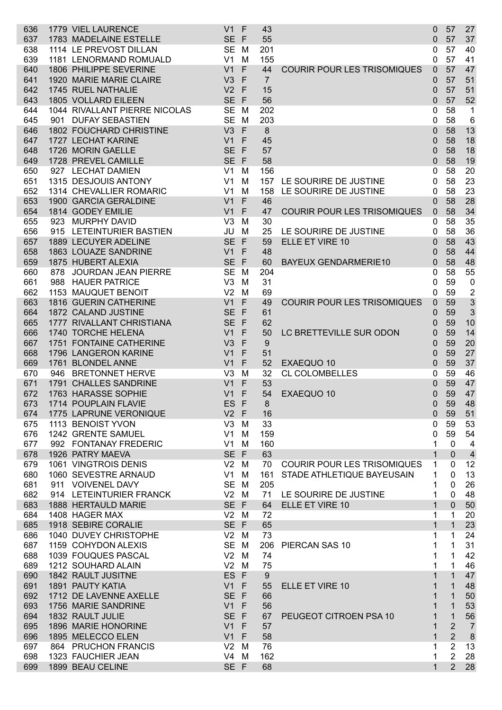| 636 |     | 1779 VIEL LAURENCE            | V <sub>1</sub> | F            | 43             |                                    | 0            | 57             | 27                      |
|-----|-----|-------------------------------|----------------|--------------|----------------|------------------------------------|--------------|----------------|-------------------------|
| 637 |     | 1783 MADELAINE ESTELLE        | <b>SE</b>      | F            | 55             |                                    | 0            | 57             | 37                      |
| 638 |     | 1114 LE PREVOST DILLAN        | <b>SE</b>      | M            | 201            |                                    | 0            | 57             | 40                      |
| 639 |     | 1181 LENORMAND ROMUALD        | V <sub>1</sub> | M            | 155            |                                    | 0            | 57             | 41                      |
| 640 |     | 1806 PHILIPPE SEVERINE        | V1             | F            | 44             | <b>COURIR POUR LES TRISOMIQUES</b> | $\mathbf{0}$ | 57             | 47                      |
| 641 |     | 1920 MARIE MARIE CLAIRE       | V <sub>3</sub> | F            | $\overline{7}$ |                                    | 0            | 57             | 51                      |
| 642 |     | 1745 RUEL NATHALIE            | V <sub>2</sub> | $\mathsf{F}$ | 15             |                                    | 0            | 57             | 51                      |
| 643 |     | 1805 VOLLARD EILEEN           | <b>SE</b>      | $\mathsf{F}$ | 56             |                                    | 0            | 57             | 52                      |
| 644 |     | 1044 RIVALLANT PIERRE NICOLAS | <b>SE</b>      | M            | 202            |                                    | 0            | 58             | $\mathbf 1$             |
| 645 |     | 901 DUFAY SEBASTIEN           | <b>SE</b>      | M            | 203            |                                    | 0            | 58             | 6                       |
| 646 |     | 1802 FOUCHARD CHRISTINE       | V3             | F            | 8              |                                    | $\mathbf 0$  | 58             | 13                      |
| 647 |     | 1727 LECHAT KARINE            | V <sub>1</sub> | F            | 45             |                                    | 0            | 58             | 18                      |
| 648 |     | 1726 MORIN GAELLE             | <b>SE</b>      | $\mathsf{F}$ | 57             |                                    | 0            | 58             | 18                      |
| 649 |     | 1728 PREVEL CAMILLE           | <b>SE</b>      | $\mathsf{F}$ | 58             |                                    | 0            | 58             | 19                      |
| 650 |     | 927 LECHAT DAMIEN             | V <sub>1</sub> | M            | 156            |                                    | 0            | 58             | 20                      |
| 651 |     | 1315 DESJOUIS ANTONY          | V <sub>1</sub> | M            | 157            | LE SOURIRE DE JUSTINE              | 0            | 58             | 23                      |
| 652 |     | 1314 CHEVALLIER ROMARIC       | V <sub>1</sub> | M            | 158            | LE SOURIRE DE JUSTINE              | 0            | 58             | 23                      |
| 653 |     | 1900 GARCIA GERALDINE         | V <sub>1</sub> | F            | 46             |                                    | $\mathbf{0}$ | 58             | 28                      |
| 654 |     | 1814 GODEY EMILIE             | V <sub>1</sub> | F            | 47             | <b>COURIR POUR LES TRISOMIQUES</b> | 0            | 58             | 34                      |
| 655 |     | 923 MURPHY DAVID              | V <sub>3</sub> | M            | 30             |                                    | 0            | 58             | 35                      |
| 656 |     | 915 LETEINTURIER BASTIEN      | JU             | M            | 25             | LE SOURIRE DE JUSTINE              | 0            | 58             | 36                      |
| 657 |     | 1889 LECUYER ADELINE          | <b>SE</b>      | F            | 59             | ELLE ET VIRE 10                    | $\mathbf 0$  | 58             | 43                      |
| 658 |     | 1863 LOUAZE SANDRINE          | V1             | F            | 48             |                                    | 0            | 58             | 44                      |
| 659 |     | 1875 HUBERT ALEXIA            | <b>SE</b>      | F            | 60             | <b>BAYEUX GENDARMERIE10</b>        | 0            | 58             | 48                      |
| 660 | 878 | <b>JOURDAN JEAN PIERRE</b>    | <b>SE</b>      | M            | 204            |                                    | 0            | 58             | 55                      |
| 661 |     | 988 HAUER PATRICE             | V <sub>3</sub> | M            | 31             |                                    | 0            | 59             | $\mathbf 0$             |
| 662 |     | 1153 MAUQUET BENOIT           | V <sub>2</sub> | M            | 69             |                                    | 0            | 59             | $\overline{\mathbf{c}}$ |
| 663 |     | 1816 GUERIN CATHERINE         | V <sub>1</sub> | F            | 49             | <b>COURIR POUR LES TRISOMIQUES</b> | 0            | 59             | $\mathfrak{S}$          |
| 664 |     | 1872 CALAND JUSTINE           | <b>SE</b>      | F            | 61             |                                    | 0            | 59             | 3                       |
| 665 |     | 1777 RIVALLANT CHRISTIANA     | <b>SE</b>      | F            | 62             |                                    | 0            | 59             | 10                      |
| 666 |     | 1740 TORCHE HELENA            | V <sub>1</sub> | F            | 50             | LC BRETTEVILLE SUR ODON            | 0            | 59             | 14                      |
| 667 |     | 1751 FONTAINE CATHERINE       | V <sub>3</sub> | F            | 9              |                                    | 0            | 59             | 20                      |
| 668 |     | 1796 LANGERON KARINE          | V <sub>1</sub> | F            | 51             |                                    | 0            | 59             | 27                      |
| 669 |     | 1761 BLONDEL ANNE             | V <sub>1</sub> | F            | 52             | EXAEQUO 10                         | 0            | 59             | 37                      |
| 670 | 946 | <b>BRETONNET HERVE</b>        | V3             | M            | 32             | <b>CL COLOMBELLES</b>              | $\mathbf 0$  | 59             | 46                      |
| 671 |     | 1791 CHALLES SANDRINE         | V <sub>1</sub> | F            | 53             |                                    | $\Omega$     | 59             | 47                      |
| 672 |     | 1763 HARASSE SOPHIE           | V <sub>1</sub> | F            | 54             | EXAEQUO 10                         | 0            | 59             | 47                      |
| 673 |     | 1714 POUPLAIN FLAVIE          | ES F           |              |                |                                    | 0            | 59             | 48                      |
| 674 |     | 1775 LAPRUNE VERONIQUE        | V <sub>2</sub> | $\mathsf{F}$ | 8<br>16        |                                    | 0            | 59             | 51                      |
| 675 |     | 1113 BENOIST YVON             | V <sub>3</sub> | M            | 33             |                                    |              | 59             | 53                      |
| 676 |     | 1242 GRENTE SAMUEL            | V <sub>1</sub> | M            | 159            |                                    | 0<br>0       | 59             | 54                      |
| 677 |     | 992 FONTANAY FREDERIC         | V <sub>1</sub> | M            | 160            |                                    | 1            | $\mathbf 0$    | $\overline{4}$          |
| 678 |     | 1926 PATRY MAEVA              | <b>SE</b>      | $\mathsf F$  | 63             |                                    | 1            | $\mathbf 0$    | $\overline{4}$          |
| 679 |     | 1061 VINGTROIS DENIS          | V <sub>2</sub> | м            | 70             | <b>COURIR POUR LES TRISOMIQUES</b> | 1            | $\mathbf{0}$   | 12                      |
| 680 |     | 1060 SEVESTRE ARNAUD          | V <sub>1</sub> | м            | 161            | STADE ATHLETIQUE BAYEUSAIN         | 1            | 0              | 13                      |
| 681 |     | 911 VOIVENEL DAVY             | <b>SE</b>      | M            | 205            |                                    | 1            | 0              | 26                      |
| 682 |     | 914 LETEINTURIER FRANCK       | V <sub>2</sub> | M            | 71             | LE SOURIRE DE JUSTINE              | 1            | 0              | 48                      |
| 683 |     | 1888 HERTAULD MARIE           | SE F           |              | 64             | ELLE ET VIRE 10                    | $\mathbf{1}$ | $\mathbf 0$    | 50                      |
| 684 |     | 1408 HAGER MAX                | V <sub>2</sub> | м            | 72             |                                    | 1            | 1              | 20                      |
| 685 |     | 1918 SEBIRE CORALIE           | SE F           |              | 65             |                                    | $\mathbf{1}$ | $\mathbf{1}$   | 23                      |
| 686 |     | 1040 DUVEY CHRISTOPHE         | V <sub>2</sub> | м            | 73             |                                    | 1            | 1              | 24                      |
| 687 |     | 1159 COHYDON ALEXIS           | <b>SE</b>      | M            | 206            | PIERCAN SAS 10                     | 1            | 1              | 31                      |
| 688 |     | 1039 FOUQUES PASCAL           | V <sub>2</sub> | м            | 74             |                                    | 1            | 1              | 42                      |
| 689 |     | 1212 SOUHARD ALAIN            | V <sub>2</sub> | м            | 75             |                                    | 1            | 1              | 46                      |
| 690 |     | 1842 RAULT JUSITNE            | ES F           |              | 9              |                                    | 1            | $\mathbf{1}$   | 47                      |
| 691 |     | 1891 PAUTY KATIA              | V <sub>1</sub> | F            | 55             | ELLE ET VIRE 10                    | 1            | 1              | 48                      |
| 692 |     | 1712 DE LAVENNE AXELLE        | <b>SE</b>      | F            | 66             |                                    | 1            | $\mathbf 1$    | 50                      |
| 693 |     | 1756 MARIE SANDRINE           | V <sub>1</sub> | F            | 56             |                                    | 1            | $\mathbf 1$    | 53                      |
| 694 |     | 1832 RAULT JULIE              | <b>SE</b>      | F            | 67             | PEUGEOT CITROEN PSA 10             | 1            | $\mathbf{1}$   | 56                      |
| 695 |     | 1896 MARIE HONORINE           | V <sub>1</sub> | F            | 57             |                                    | 1            | $\overline{2}$ | $\overline{7}$          |
| 696 |     | 1895 MELECCO ELEN             | V1             | F            | 58             |                                    | 1            | $\overline{2}$ | $\bf 8$                 |
| 697 |     | 864 PRUCHON FRANCIS           | V <sub>2</sub> | м            | 76             |                                    | 1            | $\overline{2}$ | 13                      |
| 698 |     | 1323 FAUCHIER JEAN            | V4             | м            | 162            |                                    | 1            | $\overline{2}$ | 28                      |
| 699 |     | 1899 BEAU CELINE              | SE F           |              | 68             |                                    | $\mathbf 1$  | 2              | 28                      |
|     |     |                               |                |              |                |                                    |              |                |                         |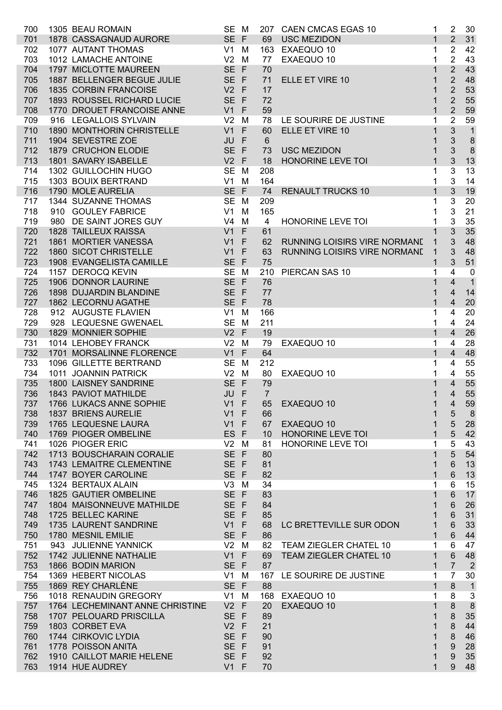| 700        | 1305 BEAU ROMAIN                                | SE M         |                 | 207 CAEN CMCAS EGAS 10                        | 1            | $\overline{2}$          | 30             |
|------------|-------------------------------------------------|--------------|-----------------|-----------------------------------------------|--------------|-------------------------|----------------|
| 701        | 1878 CASSAGNAUD AURORE                          | SE F         | 69              | <b>USC MEZIDON</b>                            | $\mathbf{1}$ | $\overline{2}$          | 31             |
| 702        | 1077 AUTANT THOMAS                              | $V1$ M       |                 | 163 EXAEQUO 10                                | 1            | $\overline{2}$          | 42             |
| 703        | 1012 LAMACHE ANTOINE                            | $V2$ M       | 77              | EXAEQUO 10                                    | 1            | $\overline{2}$          | 43             |
| 704        | 1797 MICLOTTE MAUREEN                           | SE F         | 70              |                                               |              | $\overline{2}$          | 43             |
| 705        | 1887 BELLENGER BEGUE JULIE                      | SE F         | 71              | ELLE ET VIRE 10                               | 1            | $\overline{2}$          | 48             |
| 706        | 1835 CORBIN FRANCOISE                           | $V2$ F       | 17              |                                               |              | $\overline{2}$          | 53             |
| 707        | 1893 ROUSSEL RICHARD LUCIE                      | SE F         | 72              |                                               |              | $\overline{2}$          | 55             |
| 708        | 1770 DROUET FRANCOISE ANNE                      | $V1$ F       | 59              |                                               | 1            | $\overline{2}$          | 59             |
| 709        | 916 LEGALLOIS SYLVAIN                           | $V2$ M       | 78              | LE SOURIRE DE JUSTINE                         | 1            | $\overline{2}$          | 59             |
| 710        | 1890 MONTHORIN CHRISTELLE                       | $V1$ F       | 60              | ELLE ET VIRE 10                               | 1            | 3                       | $\overline{1}$ |
| 711        | 1904 SEVESTRE ZOE                               | JU F         | $6\phantom{1}$  |                                               |              | $\sqrt{3}$              | $\bf 8$        |
| 712        | 1879 CRUCHON ELODIE                             | SE F         | 73              | <b>USC MEZIDON</b>                            |              | 3                       | $\bf 8$        |
| 713        | 1801 SAVARY ISABELLE                            | $V2$ F       | 18              | HONORINE LEVE TOI                             | 1            | 3                       | 13             |
| 714        | 1302 GUILLOCHIN HUGO                            | SE M         | 208             |                                               |              | 3                       | 13             |
| 715        | 1303 BOUIX BERTRAND                             | $V1$ M       | 164             |                                               |              | 3                       | 14             |
| 716        | 1790 MOLE AURELIA                               | SE F         | 74              | <b>RENAULT TRUCKS 10</b>                      | 1            | 3                       | 19             |
| 717        | 1344 SUZANNE THOMAS                             | SE M         | 209             |                                               |              | 3                       | 20             |
| 718        | 910 GOULEY FABRICE                              | $V1$ M       | 165             |                                               |              | $\mathbf{3}$            | 21             |
| 719        | 980 DE SAINT JORES GUY                          | $V4$ M       | $\overline{4}$  | HONORINE LEVE TOI                             |              | $\mathbf{3}$            | 35             |
| 720        | 1828 TAILLEUX RAISSA                            | $V1$ F       | 61              |                                               |              | $\mathfrak{S}$          | 35             |
| 721        | 1861 MORTIER VANESSA                            | $V1$ F       | 62              | <b>RUNNING LOISIRS VIRE NORMANE</b>           | 1            | 3                       | 48             |
| 722        | 1860 SICOT CHRISTELLE                           | $V1$ F       | 63              | RUNNING LOISIRS VIRE NORMANE                  | $\mathbf{1}$ | 3                       | 48             |
| 723        | 1908 EVANGELISTA CAMILLE                        | SE F         | 75              |                                               |              | 3                       | 51             |
| 724        | 1157 DEROCQ KEVIN                               | SE M         | 210             | PIERCAN SAS 10                                |              | 4                       | $\overline{0}$ |
| 725        | 1906 DONNOR LAURINE                             | SE F         | 76              |                                               |              | 4                       | $\overline{1}$ |
| 726        | 1898 DUJARDIN BLANDINE                          | SE F         | 77              |                                               |              | $\overline{4}$          | 14             |
| 727        | 1862 LECORNU AGATHE                             | SE F         | 78              |                                               |              | $\overline{4}$          | 20             |
| 728        | 912 AUGUSTE FLAVIEN                             | $V1$ M       | 166             |                                               |              | $\overline{4}$          | 20             |
| 729        | 928 LEQUESNE GWENAEL                            | SE M         | 211             |                                               |              | $\overline{\mathbf{4}}$ | 24             |
| 730        | 1829 MONNIER SOPHIE                             | $V2$ F       | 19              |                                               | 1            | $\overline{4}$          | 26             |
| 731        | 1014 LEHOBEY FRANCK                             | $V2$ M       | 79              | EXAEQUO 10                                    | 1            | $\overline{4}$          | 28             |
| 732        | 1701 MORSALINNE FLORENCE                        | $V1$ F       | 64              |                                               | 1            | $\overline{4}$          | 48             |
| 733        | 1096 GILLETTE BERTRAND                          | SE M         | 212             |                                               | 1            | 4                       | 55             |
| 734        | 1011 JOANNIN PATRICK                            | $V2$ M       | 80              | EXAEQUO 10                                    | 1            | 4                       | 55             |
| 735        | 1800 LAISNEY SANDRINE                           | SE F         | 79              |                                               |              | 4                       | 55             |
| 736        | 1843 PAVIOT MATHILDE                            | JU F         | $\overline{7}$  |                                               | 1            | 4                       | 55             |
| 737        | 1766 LUKACS ANNE SOPHIE                         | $V1$ F       | 65              | EXAEQUO 10                                    |              | $\overline{4}$          | 59             |
| 738        | 1837 BRIENS AURELIE                             | $V1$ F       | 66              |                                               | 1            | 5                       | 8              |
| 739        | 1765 LEQUESNE LAURA                             | $V1$ F       | 67              | EXAEQUO 10                                    | 1            | $\sqrt{5}$              | 28             |
| 740        | 1769 PIOGER OMBELINE                            | ES F         | 10 <sup>°</sup> | HONORINE LEVE TOI<br><b>HONORINE LEVE TOI</b> | 1            | 5                       | 42             |
| 741        | 1026 PIOGER ERIC                                | $V2$ M       | 81              |                                               | 1            | 5<br>$\overline{5}$     | 43             |
| 742        | 1713 BOUSCHARAIN CORALIE                        | SE F         | 80<br>81        |                                               | 1            |                         | 54<br>13       |
| 743<br>744 | 1743 LEMAITRE CLEMENTINE<br>1747 BOYER CAROLINE | SE F<br>SE F | 82              |                                               | 1<br>1       | $\,6$<br>$\,6$          | 13             |
| 745        | 1324 BERTAUX ALAIN                              | $V3$ M       | 34              |                                               |              | 6                       | 15             |
| 746        | 1825 GAUTIER OMBELINE                           | SE F         | 83              |                                               | 1<br>1       | $\,6\,$                 | 17             |
| 747        | 1804 MAISONNEUVE MATHILDE                       | SE F         | 84              |                                               | 1            | $\,6$                   | 26             |
| 748        | 1725 BELLEC KARINE                              | SE F         | 85              |                                               | 1            | $\,6$                   | 31             |
| 749        | 1735 LAURENT SANDRINE                           | $V1$ F       | 68              | LC BRETTEVILLE SUR ODON                       | 1            | $\,6$                   | 33             |
| 750        | 1780 MESNIL EMILIE                              | SE F         | 86              |                                               | 1            | $\,6\,$                 | 44             |
| 751        | 943 JULIENNE YANNICK                            | $V2$ M       | 82              | TEAM ZIEGLER CHATEL 10                        | 1            | 6                       | 47             |
| 752        | 1742 JULIENNE NATHALIE                          | $V1$ F       | 69              | TEAM ZIEGLER CHATEL 10                        | 1            | $\,6\,$                 | 48             |
| 753        | 1866 BODIN MARION                               | SE F         | 87              |                                               | $\mathbf{1}$ | $\overline{7}$          | $\overline{2}$ |
| 754        | 1369 HEBERT NICOLAS                             | $V1$ M       | 167             | LE SOURIRE DE JUSTINE                         | 1            | 7                       | 30             |
| 755        | 1869 REY CHARLÈNE                               | SE F         | 88              |                                               | $\mathbf{1}$ | 8                       | $\mathbf{1}$   |
| 756        | 1018 RENAUDIN GREGORY                           | $V1$ M       |                 | 168 EXAEQUO 10                                | 1            | 8                       | $\mathbf{3}$   |
| 757        | 1764 LECHEMINANT ANNE CHRISTINE                 | $V2$ F       | 20              | EXAEQUO 10                                    | 1            | 8                       | 8              |
| 758        | 1707 PELOUARD PRISCILLA                         | SE F         | 89              |                                               | 1            | $\bf 8$                 | 35             |
| 759        | 1803 CORBET EVA                                 | $V2$ F       | 21              |                                               | 1            | $\bf 8$                 | 44             |
| 760        | 1744 CIRKOVIC LYDIA                             | SE F         | 90              |                                               | 1            | $\bf 8$                 | 46             |
| 761        | 1778 POISSON ANITA                              | SE F         | 91              |                                               | 1            | 9                       | 28             |
| 762        | 1910 CAILLOT MARIE HELENE                       | SE F         | 92              |                                               |              | 9                       | 35             |
| 763        | 1914 HUE AUDREY                                 | $V1$ F       | 70              |                                               | 1            | 9                       | 48             |
|            |                                                 |              |                 |                                               |              |                         |                |